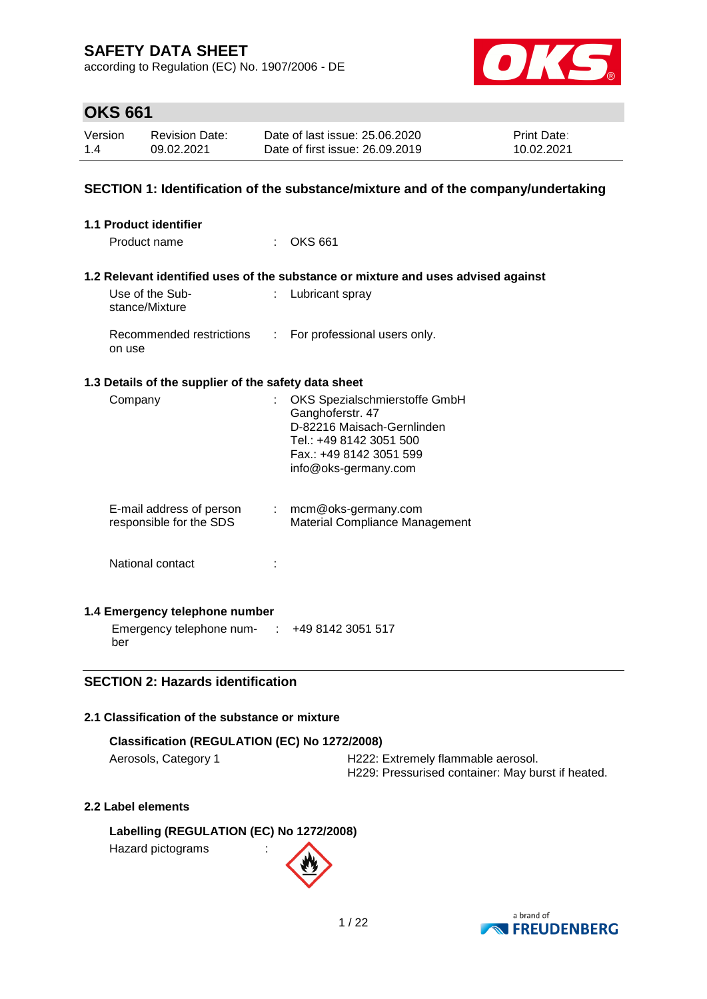according to Regulation (EC) No. 1907/2006 - DE



# **OKS 661**

| Version | <b>Revision Date:</b> | Date of last issue: 25.06.2020  | <b>Print Date:</b> |
|---------|-----------------------|---------------------------------|--------------------|
| 1.4     | 09.02.2021            | Date of first issue: 26,09,2019 | 10.02.2021         |

## **SECTION 1: Identification of the substance/mixture and of the company/undertaking**

| 1.1 Product identifier                                    |                               |                                                                                                                                                               |
|-----------------------------------------------------------|-------------------------------|---------------------------------------------------------------------------------------------------------------------------------------------------------------|
| Product name                                              |                               | <b>OKS 661</b>                                                                                                                                                |
|                                                           |                               | 1.2 Relevant identified uses of the substance or mixture and uses advised against                                                                             |
| Use of the Sub-<br>stance/Mixture                         | ÷                             | Lubricant spray                                                                                                                                               |
| Recommended restrictions<br>on use                        | $\mathcal{L}^{\mathcal{L}}$ . | For professional users only.                                                                                                                                  |
| 1.3 Details of the supplier of the safety data sheet      |                               |                                                                                                                                                               |
| Company                                                   | t.                            | OKS Spezialschmierstoffe GmbH<br>Ganghoferstr. 47<br>D-82216 Maisach-Gernlinden<br>Tel.: +49 8142 3051 500<br>Fax.: +49 8142 3051 599<br>info@oks-germany.com |
| E-mail address of person<br>responsible for the SDS       |                               | $:$ mcm@oks-germany.com<br>Material Compliance Management                                                                                                     |
| National contact                                          |                               |                                                                                                                                                               |
| 1.4 Emergency telephone number                            |                               |                                                                                                                                                               |
| Emergency telephone num- $\cdot$ +49 8142 3051 517<br>ber |                               |                                                                                                                                                               |

## **SECTION 2: Hazards identification**

## **2.1 Classification of the substance or mixture**

| Classification (REGULATION (EC) No 1272/2008) |                                    |  |  |  |  |
|-----------------------------------------------|------------------------------------|--|--|--|--|
| Aerosols, Category 1                          | H222: Extremely flammable aerosol. |  |  |  |  |

H229: Pressurised container: May burst if heated.

## **2.2 Label elements**

**Labelling (REGULATION (EC) No 1272/2008)** Hazard pictograms :

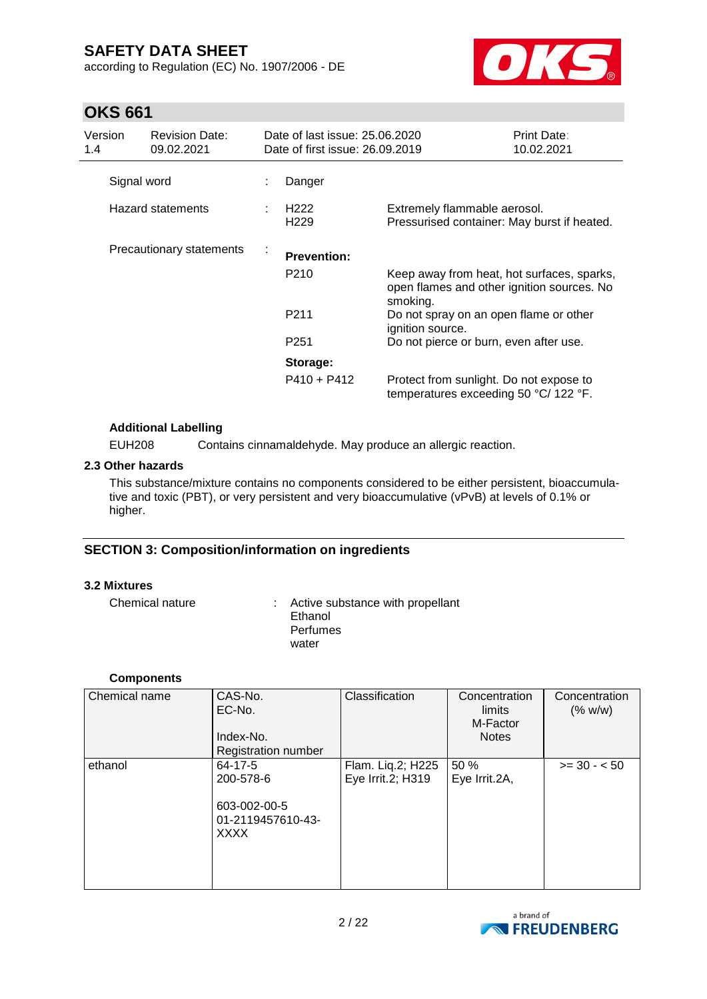according to Regulation (EC) No. 1907/2006 - DE



# **OKS 661**

| Version<br>1.4 | <b>Revision Date:</b><br>09.02.2021 | Date of last issue: 25.06.2020<br>Date of first issue: 26,09,2019 |                                                                                                      | Print Date:<br>10.02.2021 |
|----------------|-------------------------------------|-------------------------------------------------------------------|------------------------------------------------------------------------------------------------------|---------------------------|
| Signal word    |                                     | Danger                                                            |                                                                                                      |                           |
|                | Hazard statements                   | H <sub>222</sub><br>H <sub>229</sub>                              | Extremely flammable aerosol.<br>Pressurised container: May burst if heated.                          |                           |
|                | Precautionary statements            | <b>Prevention:</b>                                                |                                                                                                      |                           |
|                |                                     | P <sub>210</sub>                                                  | Keep away from heat, hot surfaces, sparks,<br>open flames and other ignition sources. No<br>smoking. |                           |
|                |                                     | P <sub>211</sub>                                                  | Do not spray on an open flame or other<br>ignition source.                                           |                           |
|                |                                     | P <sub>251</sub>                                                  | Do not pierce or burn, even after use.                                                               |                           |
|                |                                     | Storage:                                                          |                                                                                                      |                           |
|                |                                     | $P410 + P412$                                                     | Protect from sunlight. Do not expose to<br>temperatures exceeding 50 °C/ 122 °F.                     |                           |

## **Additional Labelling**

EUH208 Contains cinnamaldehyde. May produce an allergic reaction.

## **2.3 Other hazards**

This substance/mixture contains no components considered to be either persistent, bioaccumulative and toxic (PBT), or very persistent and very bioaccumulative (vPvB) at levels of 0.1% or higher.

## **SECTION 3: Composition/information on ingredients**

## **3.2 Mixtures**

Chemical nature : Active substance with propellant Ethanol **Perfumes** water

## **Components**

| Chemical name | CAS-No.<br>EC-No.<br>Index-No.<br><b>Registration number</b>                   | Classification                         | Concentration<br>limits<br>M-Factor<br><b>Notes</b> | Concentration<br>(% w/w) |
|---------------|--------------------------------------------------------------------------------|----------------------------------------|-----------------------------------------------------|--------------------------|
| ethanol       | $64 - 17 - 5$<br>200-578-6<br>603-002-00-5<br>01-2119457610-43-<br><b>XXXX</b> | Flam. Liq.2; H225<br>Eye Irrit.2; H319 | 50 %<br>Eye Irrit.2A,                               | $>= 30 - 50$             |

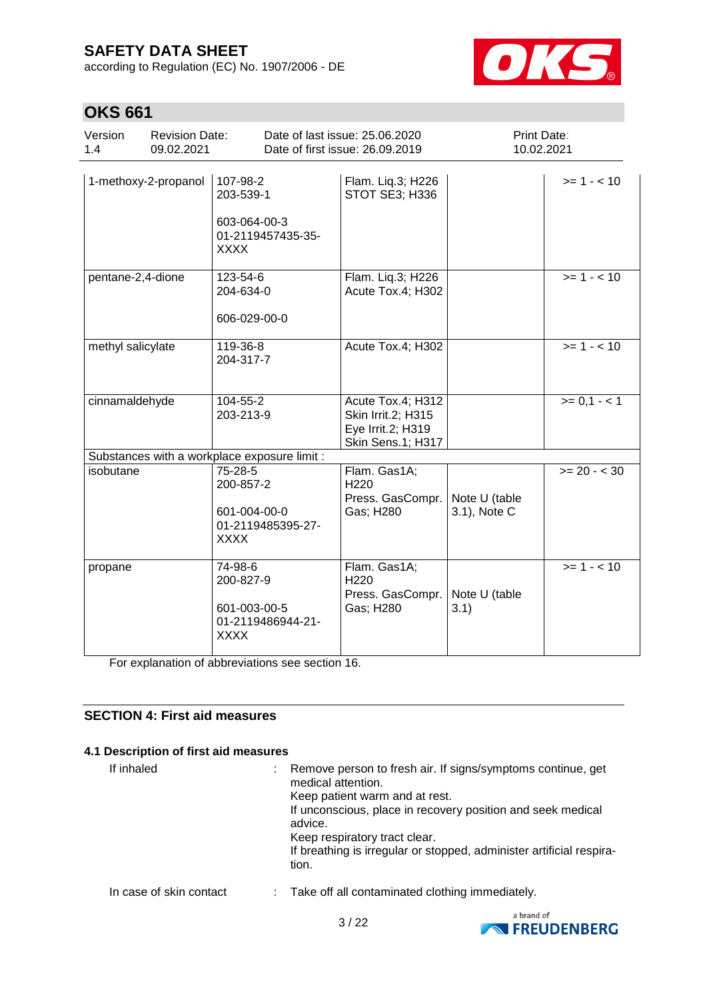according to Regulation (EC) No. 1907/2006 - DE



# **OKS 661**

| Version<br>1.4 | <b>Revision Date:</b><br>09.02.2021 |                                                                           | Date of last issue: 25.06.2020<br>Date of first issue: 26.09.2019                 | Print Date:<br>10.02.2021     |                |
|----------------|-------------------------------------|---------------------------------------------------------------------------|-----------------------------------------------------------------------------------|-------------------------------|----------------|
|                | 1-methoxy-2-propanol                | 107-98-2<br>203-539-1<br>603-064-00-3<br>01-2119457435-35-<br><b>XXXX</b> | Flam. Liq.3; H226<br>STOT SE3; H336                                               |                               | $>= 1 - 10$    |
|                | pentane-2,4-dione                   | 123-54-6<br>204-634-0<br>606-029-00-0                                     | Flam. Liq.3; H226<br>Acute Tox.4; H302                                            |                               | $>= 1 - 10$    |
|                | methyl salicylate                   | 119-36-8<br>204-317-7                                                     | Acute Tox.4; H302                                                                 |                               | $>= 1 - 10$    |
|                | cinnamaldehyde                      | 104-55-2<br>203-213-9                                                     | Acute Tox.4; H312<br>Skin Irrit.2; H315<br>Eye Irrit.2; H319<br>Skin Sens.1; H317 |                               | $>= 0, 1 - 1$  |
|                |                                     | Substances with a workplace exposure limit :                              |                                                                                   |                               |                |
| isobutane      |                                     | 75-28-5<br>200-857-2<br>601-004-00-0<br>01-2119485395-27-<br><b>XXXX</b>  | Flam. Gas1A;<br>H220<br>Press. GasCompr.<br>Gas; H280                             | Note U (table<br>3.1), Note C | $>= 20 - < 30$ |
| propane        |                                     | 74-98-6<br>200-827-9<br>601-003-00-5<br>01-2119486944-21-<br><b>XXXX</b>  | Flam. Gas1A;<br>H <sub>220</sub><br>Press. GasCompr.<br>Gas; H280                 | Note U (table<br>3.1)         | $>= 1 - 10$    |

For explanation of abbreviations see section 16.

## **SECTION 4: First aid measures**

#### **4.1 Description of first aid measures**

If inhaled : Remove person to fresh air. If signs/symptoms continue, get medical attention. Keep patient warm and at rest. If unconscious, place in recovery position and seek medical advice. Keep respiratory tract clear. If breathing is irregular or stopped, administer artificial respiration. In case of skin contact : Take off all contaminated clothing immediately.

3 / 22

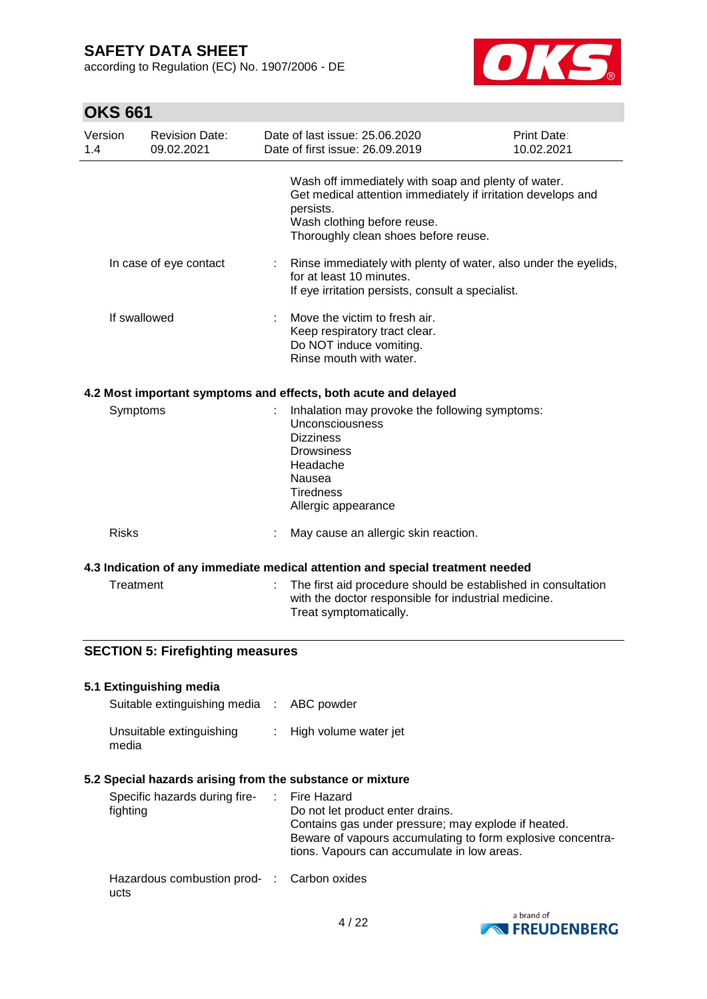according to Regulation (EC) No. 1907/2006 - DE



# **OKS 661**

ucts

| Version<br>1.4 |              | <b>Revision Date:</b><br>09.02.2021       |    | Date of last issue: 25.06.2020<br>Date of first issue: 26.09.2019                                                                                                                                                           | <b>Print Date:</b><br>10.02.2021 |
|----------------|--------------|-------------------------------------------|----|-----------------------------------------------------------------------------------------------------------------------------------------------------------------------------------------------------------------------------|----------------------------------|
|                |              |                                           |    | Wash off immediately with soap and plenty of water.<br>Get medical attention immediately if irritation develops and<br>persists.<br>Wash clothing before reuse.<br>Thoroughly clean shoes before reuse.                     |                                  |
|                |              | In case of eye contact                    | t. | Rinse immediately with plenty of water, also under the eyelids,<br>for at least 10 minutes.<br>If eye irritation persists, consult a specialist.                                                                            |                                  |
|                | If swallowed |                                           |    | Move the victim to fresh air.<br>Keep respiratory tract clear.<br>Do NOT induce vomiting.<br>Rinse mouth with water.                                                                                                        |                                  |
|                |              |                                           |    | 4.2 Most important symptoms and effects, both acute and delayed                                                                                                                                                             |                                  |
|                | Symptoms     |                                           |    | Inhalation may provoke the following symptoms:<br>Unconsciousness<br><b>Dizziness</b><br><b>Drowsiness</b><br>Headache<br>Nausea<br><b>Tiredness</b><br>Allergic appearance                                                 |                                  |
|                | <b>Risks</b> |                                           |    | May cause an allergic skin reaction.                                                                                                                                                                                        |                                  |
|                |              |                                           |    | 4.3 Indication of any immediate medical attention and special treatment needed                                                                                                                                              |                                  |
|                | Treatment    |                                           |    | The first aid procedure should be established in consultation<br>with the doctor responsible for industrial medicine.<br>Treat symptomatically.                                                                             |                                  |
|                |              | <b>SECTION 5: Firefighting measures</b>   |    |                                                                                                                                                                                                                             |                                  |
|                |              | 5.1 Extinguishing media                   |    |                                                                                                                                                                                                                             |                                  |
|                |              | Suitable extinguishing media : ABC powder |    |                                                                                                                                                                                                                             |                                  |
|                | media        | Unsuitable extinguishing                  |    | High volume water jet                                                                                                                                                                                                       |                                  |
|                |              |                                           |    | 5.2 Special hazards arising from the substance or mixture                                                                                                                                                                   |                                  |
|                | fighting     | Specific hazards during fire-             |    | <b>Fire Hazard</b><br>Do not let product enter drains.<br>Contains gas under pressure; may explode if heated.<br>Beware of vapours accumulating to form explosive concentra-<br>tions. Vapours can accumulate in low areas. |                                  |
|                |              | Hazardous combustion prod- :              |    | Carbon oxides                                                                                                                                                                                                               |                                  |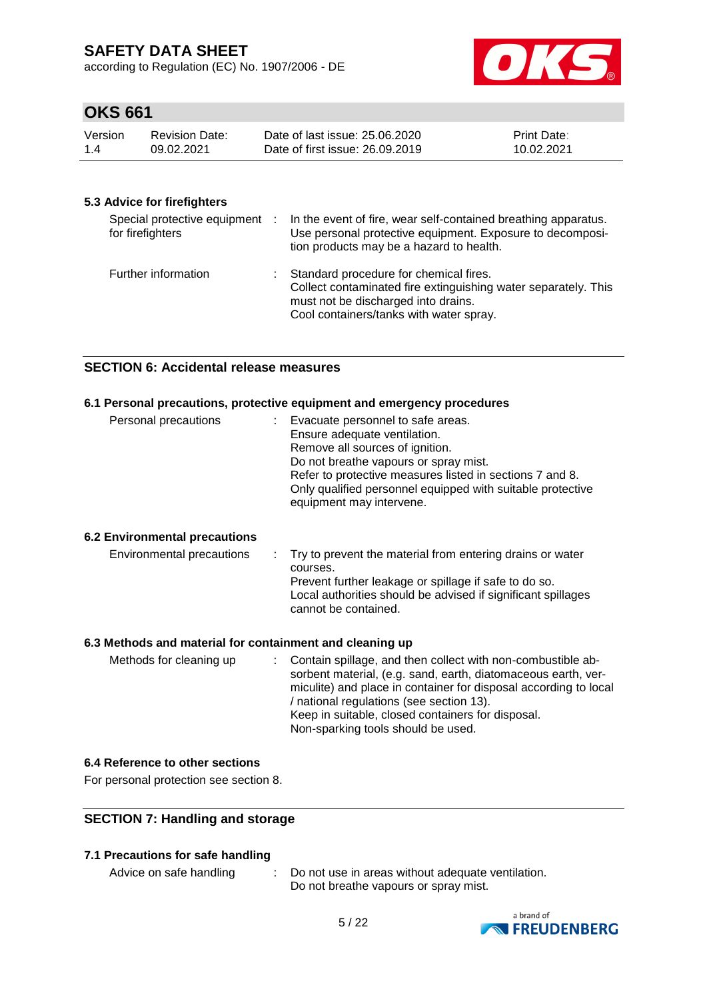according to Regulation (EC) No. 1907/2006 - DE



# **OKS 661**

| Version | <b>Revision Date:</b> | Date of last issue: 25,06,2020  | <b>Print Date:</b> |
|---------|-----------------------|---------------------------------|--------------------|
| 1.4     | 09.02.2021            | Date of first issue: 26,09,2019 | 10.02.2021         |

## **5.3 Advice for firefighters**

| Special protective equipment :<br>for firefighters | In the event of fire, wear self-contained breathing apparatus.<br>Use personal protective equipment. Exposure to decomposi-<br>tion products may be a hazard to health.                      |
|----------------------------------------------------|----------------------------------------------------------------------------------------------------------------------------------------------------------------------------------------------|
| Further information                                | : Standard procedure for chemical fires.<br>Collect contaminated fire extinguishing water separately. This<br>must not be discharged into drains.<br>Cool containers/tanks with water spray. |

## **SECTION 6: Accidental release measures**

#### **6.1 Personal precautions, protective equipment and emergency procedures**

| Personal precautions | : Evacuate personnel to safe areas.<br>Ensure adequate ventilation.<br>Remove all sources of ignition.<br>Do not breathe vapours or spray mist.<br>Refer to protective measures listed in sections 7 and 8.<br>Only qualified personnel equipped with suitable protective<br>equipment may intervene. |
|----------------------|-------------------------------------------------------------------------------------------------------------------------------------------------------------------------------------------------------------------------------------------------------------------------------------------------------|
|----------------------|-------------------------------------------------------------------------------------------------------------------------------------------------------------------------------------------------------------------------------------------------------------------------------------------------------|

## **6.2 Environmental precautions**

|  | Environmental precautions |  | $\therefore$ Try to prevent the material from entering drains or water<br>courses.<br>Prevent further leakage or spillage if safe to do so.<br>Local authorities should be advised if significant spillages<br>cannot be contained. |
|--|---------------------------|--|-------------------------------------------------------------------------------------------------------------------------------------------------------------------------------------------------------------------------------------|
|--|---------------------------|--|-------------------------------------------------------------------------------------------------------------------------------------------------------------------------------------------------------------------------------------|

#### **6.3 Methods and material for containment and cleaning up**

| Methods for cleaning up | : Contain spillage, and then collect with non-combustible ab-    |
|-------------------------|------------------------------------------------------------------|
|                         | sorbent material, (e.g. sand, earth, diatomaceous earth, ver-    |
|                         | miculite) and place in container for disposal according to local |
|                         | / national regulations (see section 13).                         |
|                         | Keep in suitable, closed containers for disposal.                |
|                         | Non-sparking tools should be used.                               |

## **6.4 Reference to other sections**

For personal protection see section 8.

## **SECTION 7: Handling and storage**

## **7.1 Precautions for safe handling**

- 
- Advice on safe handling : Do not use in areas without adequate ventilation. Do not breathe vapours or spray mist.

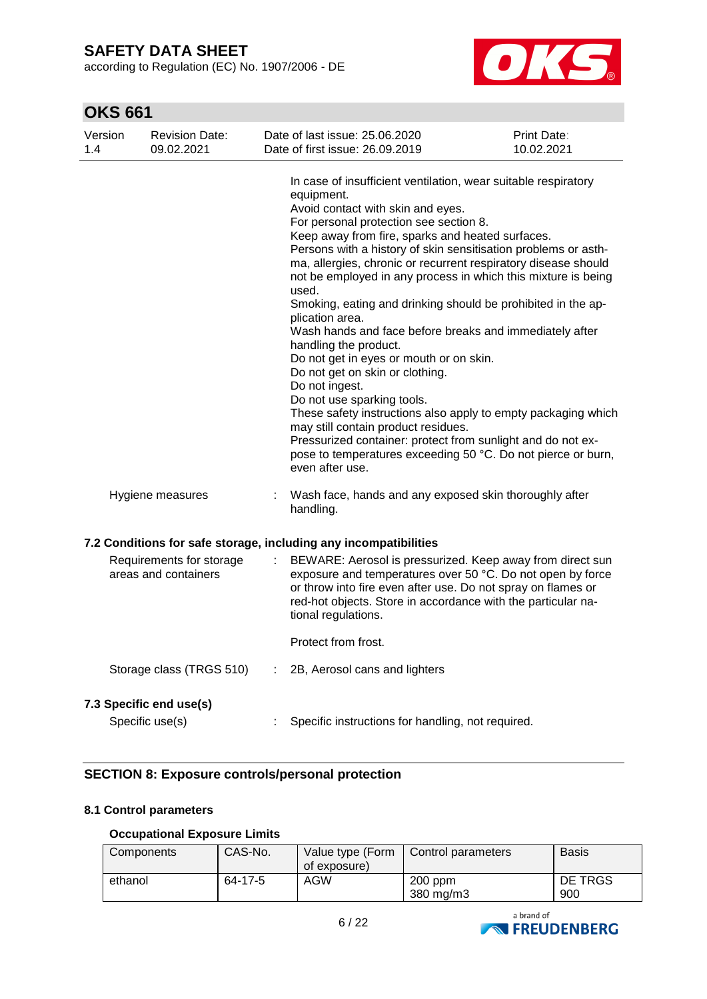according to Regulation (EC) No. 1907/2006 - DE



# **OKS 661**

| Version<br>1.4 | <b>Revision Date:</b><br>09.02.2021              |   | Date of last issue: 25.06.2020<br>Date of first issue: 26.09.2019                                                                                                                                                                                                                                                                                                                                                                                                                                                                                                                                                                                                                                                                                                                                                                                                                                                                                                                            | Print Date:<br>10.02.2021 |
|----------------|--------------------------------------------------|---|----------------------------------------------------------------------------------------------------------------------------------------------------------------------------------------------------------------------------------------------------------------------------------------------------------------------------------------------------------------------------------------------------------------------------------------------------------------------------------------------------------------------------------------------------------------------------------------------------------------------------------------------------------------------------------------------------------------------------------------------------------------------------------------------------------------------------------------------------------------------------------------------------------------------------------------------------------------------------------------------|---------------------------|
|                |                                                  |   | In case of insufficient ventilation, wear suitable respiratory<br>equipment.<br>Avoid contact with skin and eyes.<br>For personal protection see section 8.<br>Keep away from fire, sparks and heated surfaces.<br>Persons with a history of skin sensitisation problems or asth-<br>ma, allergies, chronic or recurrent respiratory disease should<br>not be employed in any process in which this mixture is being<br>used.<br>Smoking, eating and drinking should be prohibited in the ap-<br>plication area.<br>Wash hands and face before breaks and immediately after<br>handling the product.<br>Do not get in eyes or mouth or on skin.<br>Do not get on skin or clothing.<br>Do not ingest.<br>Do not use sparking tools.<br>These safety instructions also apply to empty packaging which<br>may still contain product residues.<br>Pressurized container: protect from sunlight and do not ex-<br>pose to temperatures exceeding 50 °C. Do not pierce or burn,<br>even after use. |                           |
|                | Hygiene measures                                 |   | Wash face, hands and any exposed skin thoroughly after<br>handling.                                                                                                                                                                                                                                                                                                                                                                                                                                                                                                                                                                                                                                                                                                                                                                                                                                                                                                                          |                           |
|                |                                                  |   | 7.2 Conditions for safe storage, including any incompatibilities                                                                                                                                                                                                                                                                                                                                                                                                                                                                                                                                                                                                                                                                                                                                                                                                                                                                                                                             |                           |
|                | Requirements for storage<br>areas and containers |   | BEWARE: Aerosol is pressurized. Keep away from direct sun<br>exposure and temperatures over 50 °C. Do not open by force<br>or throw into fire even after use. Do not spray on flames or<br>red-hot objects. Store in accordance with the particular na-<br>tional regulations.<br>Protect from frost.                                                                                                                                                                                                                                                                                                                                                                                                                                                                                                                                                                                                                                                                                        |                           |
|                | Storage class (TRGS 510)                         | ÷ | 2B, Aerosol cans and lighters                                                                                                                                                                                                                                                                                                                                                                                                                                                                                                                                                                                                                                                                                                                                                                                                                                                                                                                                                                |                           |
|                | 7.3 Specific end use(s)<br>Specific use(s)       |   | Specific instructions for handling, not required.                                                                                                                                                                                                                                                                                                                                                                                                                                                                                                                                                                                                                                                                                                                                                                                                                                                                                                                                            |                           |
|                |                                                  |   |                                                                                                                                                                                                                                                                                                                                                                                                                                                                                                                                                                                                                                                                                                                                                                                                                                                                                                                                                                                              |                           |

# **SECTION 8: Exposure controls/personal protection**

## **8.1 Control parameters**

## **Occupational Exposure Limits**

| Components | CAS-No. | Value type (Form<br>of exposure) | Control parameters              | <b>Basis</b>   |
|------------|---------|----------------------------------|---------------------------------|----------------|
| ethanol    | 64-17-5 | AGW                              | $200$ ppm<br>$380 \text{ mg/m}$ | DE TRGS<br>900 |

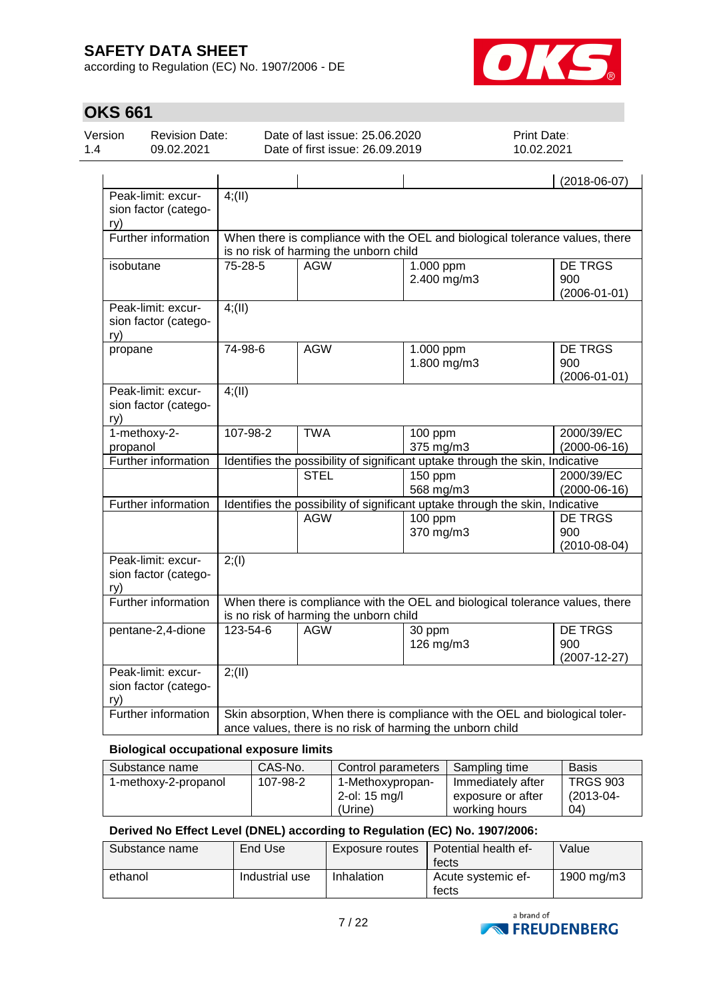according to Regulation (EC) No. 1907/2006 - DE



# **OKS 661**

| Version<br>1.4                                                                                                                                                   | <b>Revision Date:</b><br>09.02.2021        | Date of last issue: 25.06.2020<br>Date of first issue: 26.09.2019             |                                        | Print Date:<br>10.02.2021 |                                                                              |  |  |
|------------------------------------------------------------------------------------------------------------------------------------------------------------------|--------------------------------------------|-------------------------------------------------------------------------------|----------------------------------------|---------------------------|------------------------------------------------------------------------------|--|--|
|                                                                                                                                                                  |                                            |                                                                               |                                        |                           | $(2018-06-07)$                                                               |  |  |
| ry)                                                                                                                                                              | Peak-limit: excur-<br>sion factor (catego- | 4; (II)                                                                       |                                        |                           |                                                                              |  |  |
|                                                                                                                                                                  | Further information                        |                                                                               | is no risk of harming the unborn child |                           | When there is compliance with the OEL and biological tolerance values, there |  |  |
| isobutane                                                                                                                                                        |                                            | 75-28-5                                                                       | <b>AGW</b>                             | 1.000 ppm<br>2.400 mg/m3  | <b>DE TRGS</b><br>900<br>$(2006 - 01 - 01)$                                  |  |  |
| ry)                                                                                                                                                              | Peak-limit: excur-<br>sion factor (catego- | $4$ ; (II)                                                                    |                                        |                           |                                                                              |  |  |
| propane                                                                                                                                                          |                                            | 74-98-6                                                                       | <b>AGW</b>                             | 1.000 ppm<br>1.800 mg/m3  | DE TRGS<br>900<br>$(2006 - 01 - 01)$                                         |  |  |
| ry)                                                                                                                                                              | Peak-limit: excur-<br>sion factor (catego- | 4; (II)                                                                       |                                        |                           |                                                                              |  |  |
| propanol                                                                                                                                                         | 1-methoxy-2-                               | 107-98-2                                                                      | <b>TWA</b>                             | 100 ppm<br>375 mg/m3      | 2000/39/EC<br>$(2000-06-16)$                                                 |  |  |
|                                                                                                                                                                  | Further information                        | Identifies the possibility of significant uptake through the skin, Indicative |                                        |                           |                                                                              |  |  |
|                                                                                                                                                                  |                                            |                                                                               | <b>STEL</b>                            | $150$ ppm<br>568 mg/m3    | 2000/39/EC<br>$(2000-06-16)$                                                 |  |  |
|                                                                                                                                                                  | Further information                        | Identifies the possibility of significant uptake through the skin, Indicative |                                        |                           |                                                                              |  |  |
|                                                                                                                                                                  |                                            |                                                                               | <b>AGW</b>                             | $100$ ppm<br>370 mg/m3    | <b>DE TRGS</b><br>900<br>$(2010 - 08 - 04)$                                  |  |  |
| ry)                                                                                                                                                              | Peak-limit: excur-<br>sion factor (catego- | 2; (1)                                                                        |                                        |                           |                                                                              |  |  |
|                                                                                                                                                                  | Further information                        |                                                                               | is no risk of harming the unborn child |                           | When there is compliance with the OEL and biological tolerance values, there |  |  |
|                                                                                                                                                                  | pentane-2,4-dione                          | 123-54-6                                                                      | <b>AGW</b>                             | 30 ppm<br>126 mg/m3       | <b>DE TRGS</b><br>900<br>$(2007 - 12 - 27)$                                  |  |  |
| Peak-limit: excur-<br>2; (II)<br>sion factor (catego-<br>ry)                                                                                                     |                                            |                                                                               |                                        |                           |                                                                              |  |  |
| Further information<br>Skin absorption, When there is compliance with the OEL and biological toler-<br>ance values, there is no risk of harming the unborn child |                                            |                                                                               |                                        |                           |                                                                              |  |  |

## **Biological occupational exposure limits**

| Substance name       | CAS-No.  | Control parameters                                     | Sampling time                                           | <b>Basis</b>                         |
|----------------------|----------|--------------------------------------------------------|---------------------------------------------------------|--------------------------------------|
| 1-methoxy-2-propanol | 107-98-2 | 1-Methoxypropan-<br>2-ol: $15 \text{ mg/l}$<br>(Urine) | Immediately after<br>exposure or after<br>working hours | <b>TRGS 903</b><br>(2013-04-<br>(04) |

## **Derived No Effect Level (DNEL) according to Regulation (EC) No. 1907/2006:**

| Substance name | End Use        | Exposure routes | Potential health ef-<br>fects | Value      |
|----------------|----------------|-----------------|-------------------------------|------------|
| ethanol        | Industrial use | Inhalation      | Acute systemic ef-<br>fects   | 1900 mg/m3 |

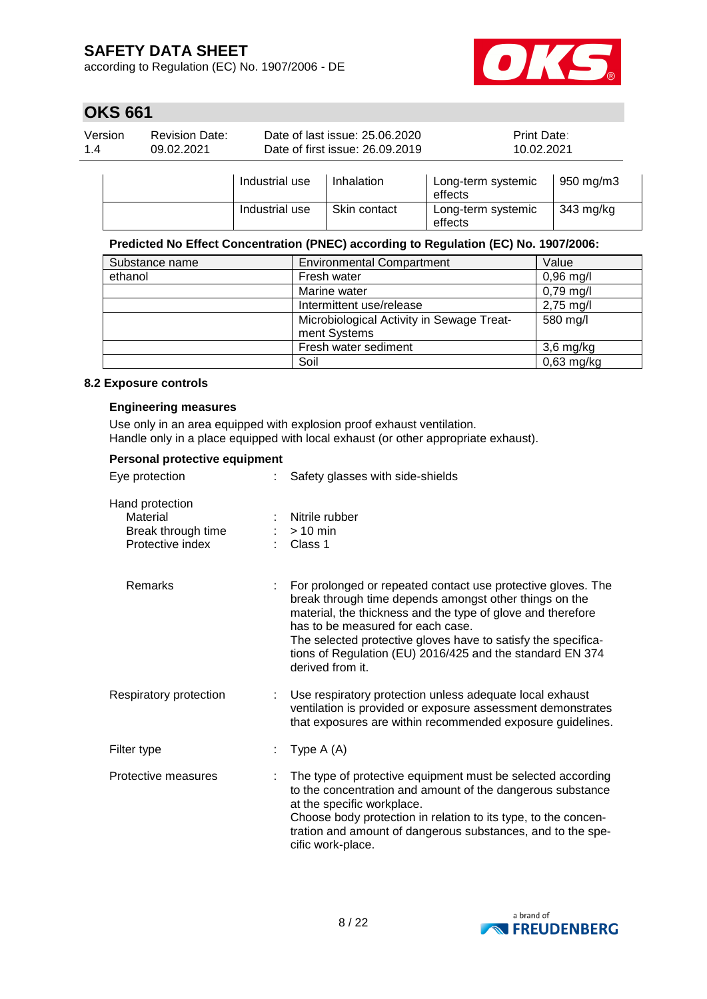according to Regulation (EC) No. 1907/2006 - DE



# **OKS 661**

| Version | <b>Revision Date:</b> | Date of last issue: 25,06,2020  | <b>Print Date:</b> |
|---------|-----------------------|---------------------------------|--------------------|
| 1.4     | 09.02.2021            | Date of first issue: 26.09.2019 | 10.02.2021         |
|         |                       |                                 |                    |

|  | Industrial use | Inhalation   | Long-term systemic<br>effects | 950 mg/m3 |
|--|----------------|--------------|-------------------------------|-----------|
|  | Industrial use | Skin contact | Long-term systemic<br>effects | 343 mg/kg |

## **Predicted No Effect Concentration (PNEC) according to Regulation (EC) No. 1907/2006:**

| Substance name | <b>Environmental Compartment</b>          | Value               |
|----------------|-------------------------------------------|---------------------|
| ethanol        | Fresh water                               | $0,96$ mg/l         |
|                | Marine water                              | $0,79$ mg/l         |
|                | Intermittent use/release                  | $2,75 \text{ mg/l}$ |
|                | Microbiological Activity in Sewage Treat- | 580 mg/l            |
|                | ment Systems                              |                     |
|                | Fresh water sediment                      | $3,6$ mg/kg         |
|                | Soil                                      | $0,63$ mg/kg        |

#### **8.2 Exposure controls**

#### **Engineering measures**

Use only in an area equipped with explosion proof exhaust ventilation. Handle only in a place equipped with local exhaust (or other appropriate exhaust).

#### **Personal protective equipment**

| Eye protection                                                        | Safety glasses with side-shields                                                                                                                                                                                                                                                                                                                                             |
|-----------------------------------------------------------------------|------------------------------------------------------------------------------------------------------------------------------------------------------------------------------------------------------------------------------------------------------------------------------------------------------------------------------------------------------------------------------|
| Hand protection<br>Material<br>Break through time<br>Protective index | Nitrile rubber<br>$>10$ min<br>$\therefore$ Class 1                                                                                                                                                                                                                                                                                                                          |
| Remarks                                                               | For prolonged or repeated contact use protective gloves. The<br>break through time depends amongst other things on the<br>material, the thickness and the type of glove and therefore<br>has to be measured for each case.<br>The selected protective gloves have to satisfy the specifica-<br>tions of Regulation (EU) 2016/425 and the standard EN 374<br>derived from it. |
| Respiratory protection                                                | Use respiratory protection unless adequate local exhaust<br>ventilation is provided or exposure assessment demonstrates<br>that exposures are within recommended exposure guidelines.                                                                                                                                                                                        |
| Filter type                                                           | Type $A(A)$                                                                                                                                                                                                                                                                                                                                                                  |
| Protective measures                                                   | The type of protective equipment must be selected according<br>to the concentration and amount of the dangerous substance<br>at the specific workplace.<br>Choose body protection in relation to its type, to the concen-<br>tration and amount of dangerous substances, and to the spe-<br>cific work-place.                                                                |

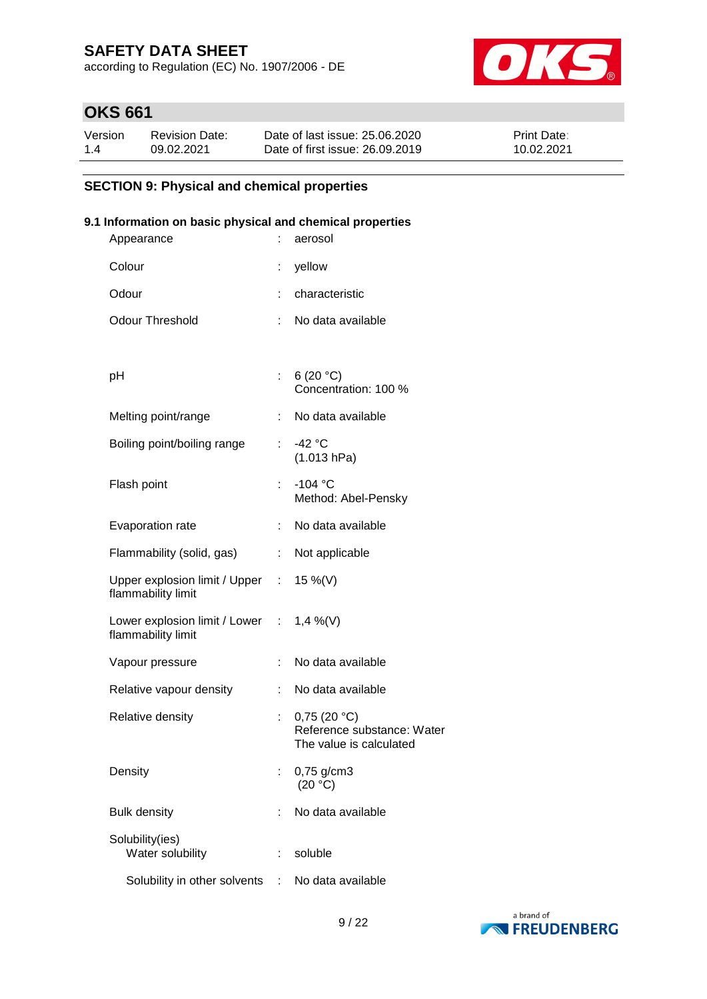according to Regulation (EC) No. 1907/2006 - DE



# **OKS 661**

| Version | <b>Revision Date:</b> | Date of last issue: 25.06.2020  | <b>Print Date:</b> |
|---------|-----------------------|---------------------------------|--------------------|
| 1.4     | 09.02.2021            | Date of first issue: 26,09,2019 | 10.02.2021         |

## **SECTION 9: Physical and chemical properties**

## **9.1 Information on basic physical and chemical properties**

| Appearance                                                     |    | aerosol                                                              |
|----------------------------------------------------------------|----|----------------------------------------------------------------------|
| Colour                                                         |    | yellow                                                               |
| Odour                                                          |    | characteristic                                                       |
| <b>Odour Threshold</b>                                         | ÷. | No data available                                                    |
|                                                                |    |                                                                      |
| рH                                                             |    | : 6 (20 °C)<br>Concentration: 100 %                                  |
| Melting point/range                                            |    | : No data available                                                  |
| Boiling point/boiling range                                    | ÷. | -42 °C<br>(1.013 hPa)                                                |
| Flash point                                                    | t. | $-104 °C$<br>Method: Abel-Pensky                                     |
| Evaporation rate                                               | ÷. | No data available                                                    |
| Flammability (solid, gas)                                      |    | : Not applicable                                                     |
| Upper explosion limit / Upper : 15 %(V)<br>flammability limit  |    |                                                                      |
| Lower explosion limit / Lower : 1,4 %(V)<br>flammability limit |    |                                                                      |
| Vapour pressure                                                | t. | No data available                                                    |
| Relative vapour density                                        | ÷. | No data available                                                    |
| Relative density                                               | ÷  | 0,75(20 °C)<br>Reference substance: Water<br>The value is calculated |
| Density                                                        |    | 0,75 g/cm3<br>(20 °C)                                                |
| <b>Bulk density</b>                                            |    | No data available                                                    |
| Solubility(ies)<br>Water solubility                            | t  | soluble                                                              |
| Solubility in other solvents                                   | ÷. | No data available                                                    |

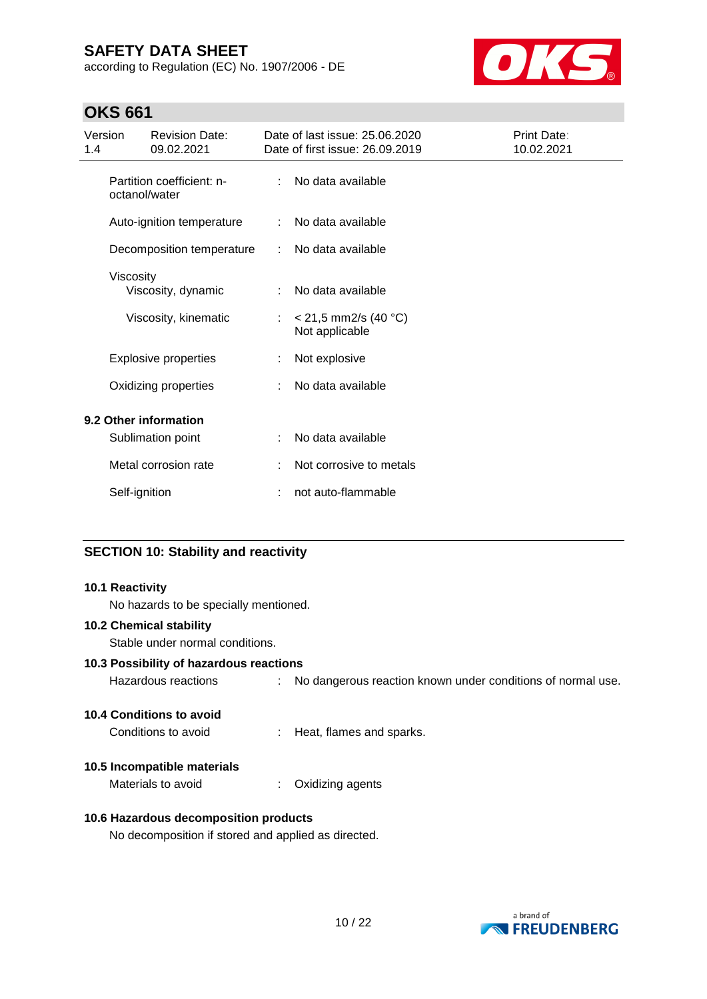according to Regulation (EC) No. 1907/2006 - DE



# **OKS 661**

| Version<br>1.4 |                                            | <b>Revision Date:</b><br>09.02.2021 |    | Date of last issue: 25.06.2020<br>Date of first issue: 26.09.2019 | Print Date:<br>10.02.2021 |
|----------------|--------------------------------------------|-------------------------------------|----|-------------------------------------------------------------------|---------------------------|
|                | Partition coefficient: n-<br>octanol/water |                                     | ÷  | No data available                                                 |                           |
|                |                                            | Auto-ignition temperature           |    | No data available                                                 |                           |
|                |                                            | Decomposition temperature           |    | No data available                                                 |                           |
|                | Viscosity                                  | Viscosity, dynamic                  |    | No data available                                                 |                           |
|                |                                            | Viscosity, kinematic                | ÷. | $<$ 21,5 mm2/s (40 °C)<br>Not applicable                          |                           |
|                |                                            | <b>Explosive properties</b>         |    | Not explosive                                                     |                           |
|                |                                            | Oxidizing properties                |    | No data available                                                 |                           |
|                |                                            | 9.2 Other information               |    |                                                                   |                           |
|                |                                            | Sublimation point                   |    | No data available                                                 |                           |
|                |                                            | Metal corrosion rate                |    | Not corrosive to metals                                           |                           |
|                | Self-ignition                              |                                     |    | not auto-flammable                                                |                           |

# **SECTION 10: Stability and reactivity**

| 10.1 Reactivity                                     |    |                                                               |
|-----------------------------------------------------|----|---------------------------------------------------------------|
| No hazards to be specially mentioned.               |    |                                                               |
| <b>10.2 Chemical stability</b>                      |    |                                                               |
| Stable under normal conditions.                     |    |                                                               |
| 10.3 Possibility of hazardous reactions             |    |                                                               |
| Hazardous reactions                                 |    | : No dangerous reaction known under conditions of normal use. |
| 10.4 Conditions to avoid                            |    |                                                               |
| Conditions to avoid                                 |    | : Heat, flames and sparks.                                    |
| 10.5 Incompatible materials                         |    |                                                               |
| Materials to avoid                                  | ÷. | Oxidizing agents                                              |
| 10.6 Hazardous decomposition products               |    |                                                               |
| No decomposition if stored and applied as directed. |    |                                                               |

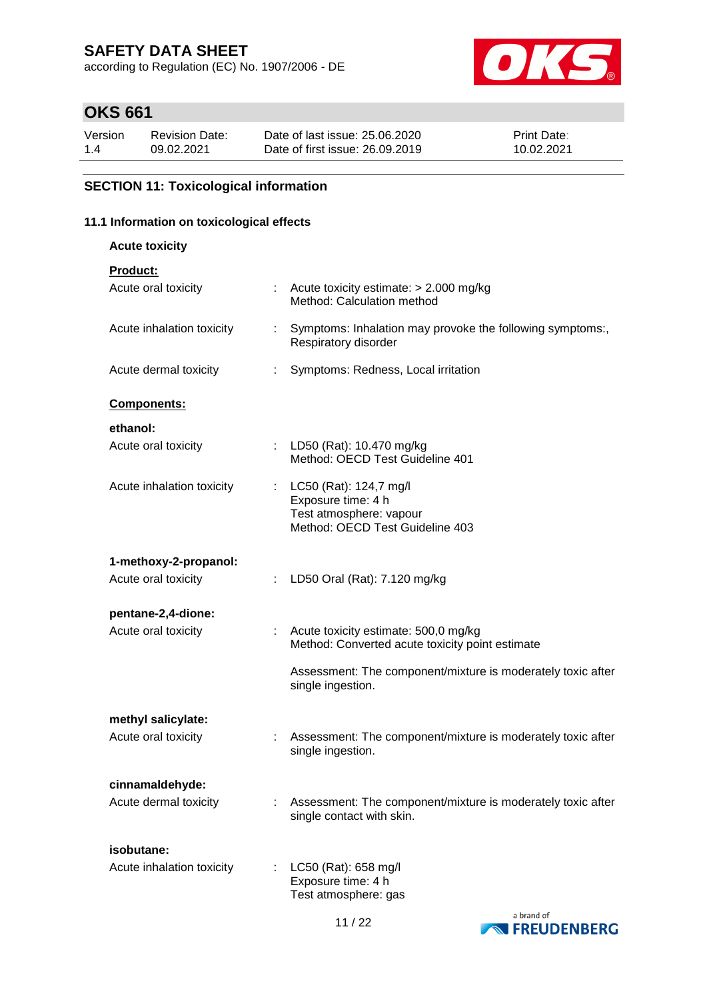according to Regulation (EC) No. 1907/2006 - DE



# **OKS 661**

| Version | Revision Date: | Date of last issue: 25,06,2020  | <b>Print Date:</b> |
|---------|----------------|---------------------------------|--------------------|
| 1.4     | 09.02.2021     | Date of first issue: 26,09,2019 | 10.02.2021         |

## **SECTION 11: Toxicological information**

## **11.1 Information on toxicological effects**

**Acute toxicity**

| Product: |  |  |  |  |
|----------|--|--|--|--|
|          |  |  |  |  |

| Acute oral toxicity       |    | Acute toxicity estimate: > 2.000 mg/kg<br>Method: Calculation method                     |  |
|---------------------------|----|------------------------------------------------------------------------------------------|--|
| Acute inhalation toxicity | ÷  | Symptoms: Inhalation may provoke the following symptoms:,<br>Respiratory disorder        |  |
| Acute dermal toxicity     | ÷. | Symptoms: Redness, Local irritation                                                      |  |
| Components:               |    |                                                                                          |  |
| ethanol:                  |    |                                                                                          |  |
| Acute oral toxicity       |    | LD50 (Rat): 10.470 mg/kg<br>Method: OECD Test Guideline 401                              |  |
| Acute inhalation toxicity |    | : LC50 (Rat): 124,7 mg/l<br>Exposure time: 4 h                                           |  |
|                           |    | Test atmosphere: vapour<br>Method: OECD Test Guideline 403                               |  |
| 1-methoxy-2-propanol:     |    |                                                                                          |  |
| Acute oral toxicity       |    | LD50 Oral (Rat): 7.120 mg/kg                                                             |  |
| pentane-2,4-dione:        |    |                                                                                          |  |
| Acute oral toxicity       |    | Acute toxicity estimate: 500,0 mg/kg<br>Method: Converted acute toxicity point estimate  |  |
|                           |    | Assessment: The component/mixture is moderately toxic after<br>single ingestion.         |  |
| methyl salicylate:        |    |                                                                                          |  |
| Acute oral toxicity       |    | Assessment: The component/mixture is moderately toxic after<br>single ingestion.         |  |
| cinnamaldehyde:           |    |                                                                                          |  |
| Acute dermal toxicity     |    | Assessment: The component/mixture is moderately toxic after<br>single contact with skin. |  |
| isobutane:                |    |                                                                                          |  |
| Acute inhalation toxicity |    | LC50 (Rat): 658 mg/l<br>Exposure time: 4 h<br>Test atmosphere: gas                       |  |

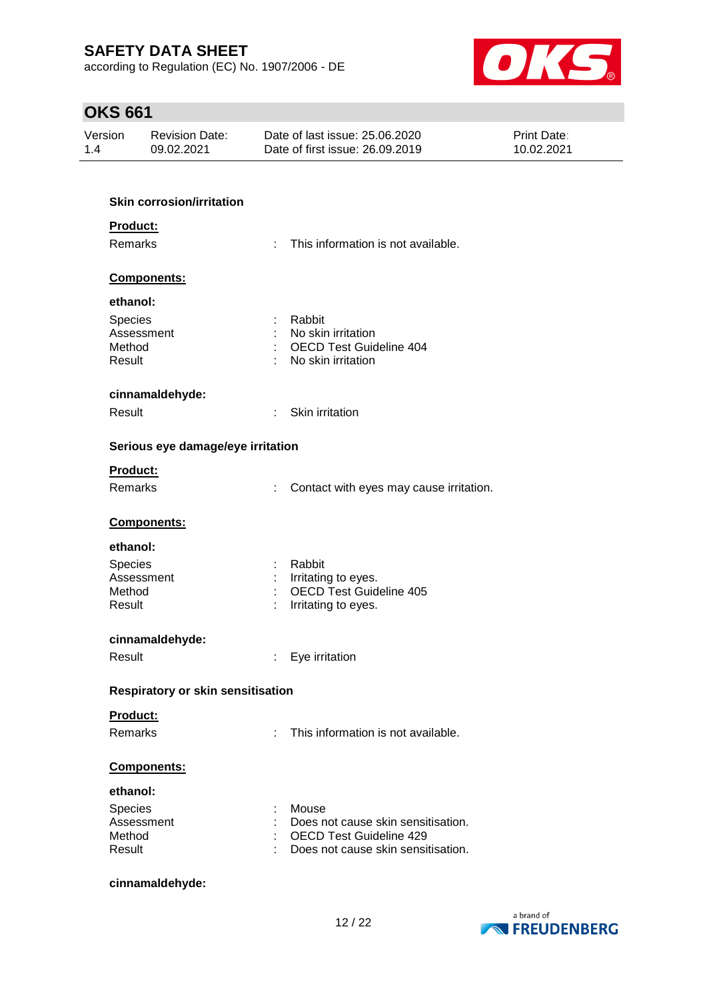according to Regulation (EC) No. 1907/2006 - DE



# **OKS 661**

| Version<br>1.4 |                  | <b>Revision Date:</b><br>09.02.2021 |   | Date of last issue: 25.06.2020<br>Date of first issue: 26.09.2019    | Print Date:<br>10.02.2021 |
|----------------|------------------|-------------------------------------|---|----------------------------------------------------------------------|---------------------------|
|                |                  |                                     |   |                                                                      |                           |
|                |                  | <b>Skin corrosion/irritation</b>    |   |                                                                      |                           |
|                | Product:         |                                     |   |                                                                      |                           |
|                | Remarks          |                                     |   | This information is not available.                                   |                           |
|                |                  | Components:                         |   |                                                                      |                           |
|                | ethanol:         |                                     |   |                                                                      |                           |
|                | Species          |                                     |   | Rabbit                                                               |                           |
|                | Method           | Assessment                          |   | No skin irritation<br><b>OECD Test Guideline 404</b>                 |                           |
|                | Result           |                                     |   | No skin irritation                                                   |                           |
|                |                  | cinnamaldehyde:                     |   |                                                                      |                           |
|                | Result           |                                     | ÷ | Skin irritation                                                      |                           |
|                |                  | Serious eye damage/eye irritation   |   |                                                                      |                           |
|                | <b>Product:</b>  |                                     |   |                                                                      |                           |
|                | Remarks          |                                     | ÷ | Contact with eyes may cause irritation.                              |                           |
|                |                  | Components:                         |   |                                                                      |                           |
|                | ethanol:         |                                     |   |                                                                      |                           |
|                | Species          |                                     |   | Rabbit                                                               |                           |
|                |                  | Assessment                          |   | Irritating to eyes.                                                  |                           |
|                | Method<br>Result |                                     |   | <b>OECD Test Guideline 405</b><br>Irritating to eyes.                |                           |
|                |                  |                                     |   |                                                                      |                           |
|                |                  | cinnamaldehyde:                     |   |                                                                      |                           |
|                | Result           |                                     |   | : Eye irritation                                                     |                           |
|                |                  | Respiratory or skin sensitisation   |   |                                                                      |                           |
|                | Product:         |                                     |   |                                                                      |                           |
|                | <b>Remarks</b>   |                                     | ÷ | This information is not available.                                   |                           |
|                |                  | Components:                         |   |                                                                      |                           |
|                | ethanol:         |                                     |   |                                                                      |                           |
|                | Species          |                                     |   | Mouse                                                                |                           |
|                |                  | Assessment                          |   | Does not cause skin sensitisation.                                   |                           |
|                | Method<br>Result |                                     |   | <b>OECD Test Guideline 429</b><br>Does not cause skin sensitisation. |                           |
|                |                  |                                     |   |                                                                      |                           |

## **cinnamaldehyde:**

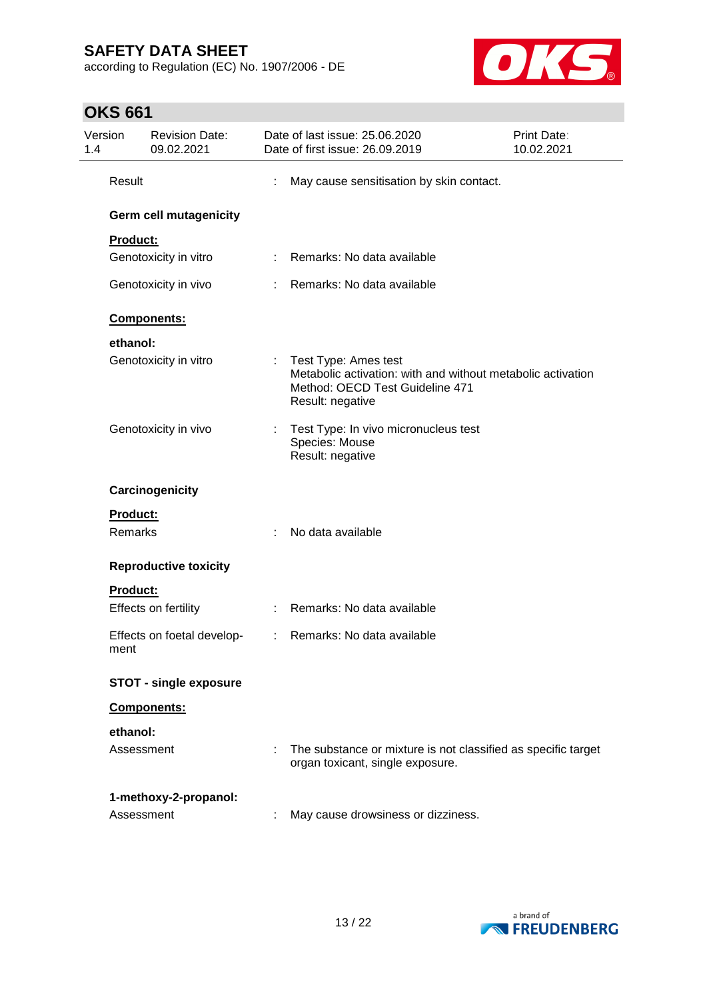**OKS 661**

according to Regulation (EC) No. 1907/2006 - DE



# Version 1.4 Revision Date: 09.02.2021 Date of last issue: 25.06.2020 Date of first issue: 26.09.2019 Print Date: 10.02.2021 Result : May cause sensitisation by skin contact. **Germ cell mutagenicity Product:** Genotoxicity in vitro : Remarks: No data available Genotoxicity in vivo : Remarks: No data available **Components: ethanol:** Genotoxicity in vitro : Test Type: Ames test Metabolic activation: with and without metabolic activation Method: OECD Test Guideline 471 Result: negative Genotoxicity in vivo : Test Type: In vivo micronucleus test Species: Mouse Result: negative **Carcinogenicity Product:** Remarks : No data available **Reproductive toxicity Product:** Effects on fertility : Remarks: No data available Effects on foetal development : Remarks: No data available **STOT - single exposure Components: ethanol:** Assessment : The substance or mixture is not classified as specific target organ toxicant, single exposure. **1-methoxy-2-propanol:** Assessment : May cause drowsiness or dizziness.

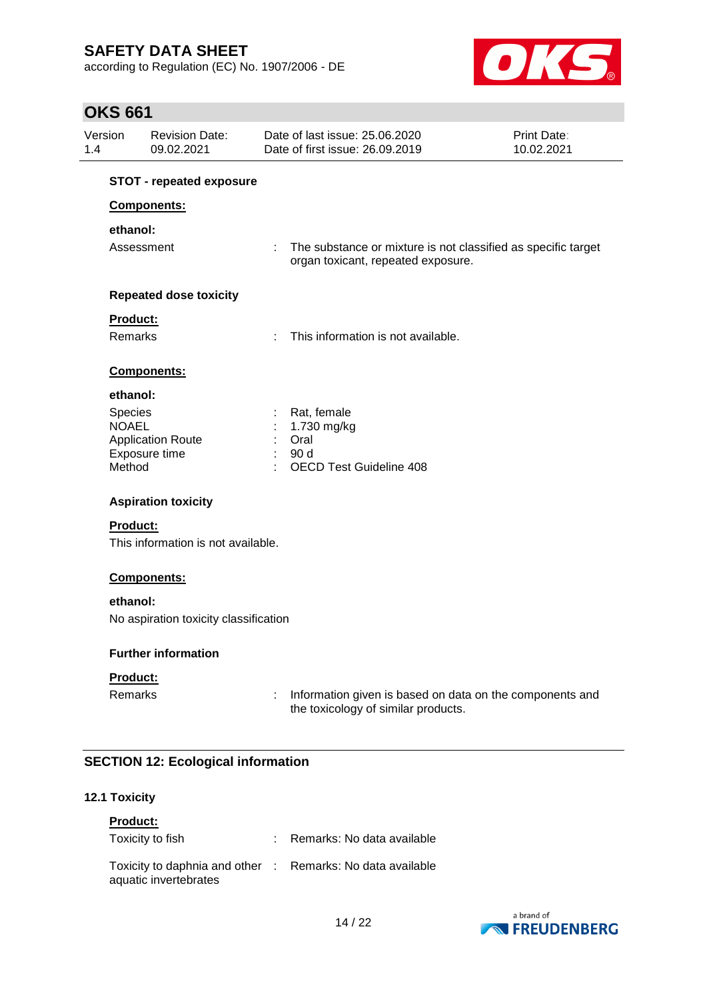according to Regulation (EC) No. 1907/2006 - DE



# **OKS 661**

| <b>STOT - repeated exposure</b><br>Components:<br>ethanol:<br>Assessment<br><b>Repeated dose toxicity</b><br>Product:<br>Remarks<br>Components:<br>ethanol:<br>Species<br><b>NOAEL</b><br><b>Application Route</b><br>Exposure time<br>Method<br><b>Aspiration toxicity</b><br><b>Product:</b><br>This information is not available.<br>Components:<br>ethanol:<br>No aspiration toxicity classification<br><b>Further information</b><br>Product:<br><b>Remarks</b> |   |                                                                                                       |  |
|----------------------------------------------------------------------------------------------------------------------------------------------------------------------------------------------------------------------------------------------------------------------------------------------------------------------------------------------------------------------------------------------------------------------------------------------------------------------|---|-------------------------------------------------------------------------------------------------------|--|
|                                                                                                                                                                                                                                                                                                                                                                                                                                                                      |   |                                                                                                       |  |
|                                                                                                                                                                                                                                                                                                                                                                                                                                                                      |   |                                                                                                       |  |
|                                                                                                                                                                                                                                                                                                                                                                                                                                                                      |   |                                                                                                       |  |
|                                                                                                                                                                                                                                                                                                                                                                                                                                                                      |   | : The substance or mixture is not classified as specific target<br>organ toxicant, repeated exposure. |  |
|                                                                                                                                                                                                                                                                                                                                                                                                                                                                      |   |                                                                                                       |  |
|                                                                                                                                                                                                                                                                                                                                                                                                                                                                      |   |                                                                                                       |  |
|                                                                                                                                                                                                                                                                                                                                                                                                                                                                      | ÷ | This information is not available.                                                                    |  |
|                                                                                                                                                                                                                                                                                                                                                                                                                                                                      |   |                                                                                                       |  |
|                                                                                                                                                                                                                                                                                                                                                                                                                                                                      |   |                                                                                                       |  |
|                                                                                                                                                                                                                                                                                                                                                                                                                                                                      |   | Rat, female                                                                                           |  |
|                                                                                                                                                                                                                                                                                                                                                                                                                                                                      |   | 1.730 mg/kg<br>Oral                                                                                   |  |
|                                                                                                                                                                                                                                                                                                                                                                                                                                                                      |   | 90 d                                                                                                  |  |
|                                                                                                                                                                                                                                                                                                                                                                                                                                                                      |   | <b>OECD Test Guideline 408</b>                                                                        |  |
|                                                                                                                                                                                                                                                                                                                                                                                                                                                                      |   |                                                                                                       |  |
|                                                                                                                                                                                                                                                                                                                                                                                                                                                                      |   |                                                                                                       |  |
|                                                                                                                                                                                                                                                                                                                                                                                                                                                                      |   |                                                                                                       |  |
|                                                                                                                                                                                                                                                                                                                                                                                                                                                                      |   |                                                                                                       |  |
|                                                                                                                                                                                                                                                                                                                                                                                                                                                                      |   |                                                                                                       |  |
|                                                                                                                                                                                                                                                                                                                                                                                                                                                                      |   |                                                                                                       |  |
|                                                                                                                                                                                                                                                                                                                                                                                                                                                                      |   |                                                                                                       |  |
|                                                                                                                                                                                                                                                                                                                                                                                                                                                                      |   |                                                                                                       |  |
|                                                                                                                                                                                                                                                                                                                                                                                                                                                                      |   | Information given is based on data on the components and<br>the toxicology of similar products.       |  |
| <b>SECTION 12: Ecological information</b>                                                                                                                                                                                                                                                                                                                                                                                                                            |   |                                                                                                       |  |

## **12.1 Toxicity**

| <b>Product:</b>                                                                     |                              |
|-------------------------------------------------------------------------------------|------------------------------|
| Toxicity to fish                                                                    | : Remarks: No data available |
| Toxicity to daphnia and other : Remarks: No data available<br>aquatic invertebrates |                              |

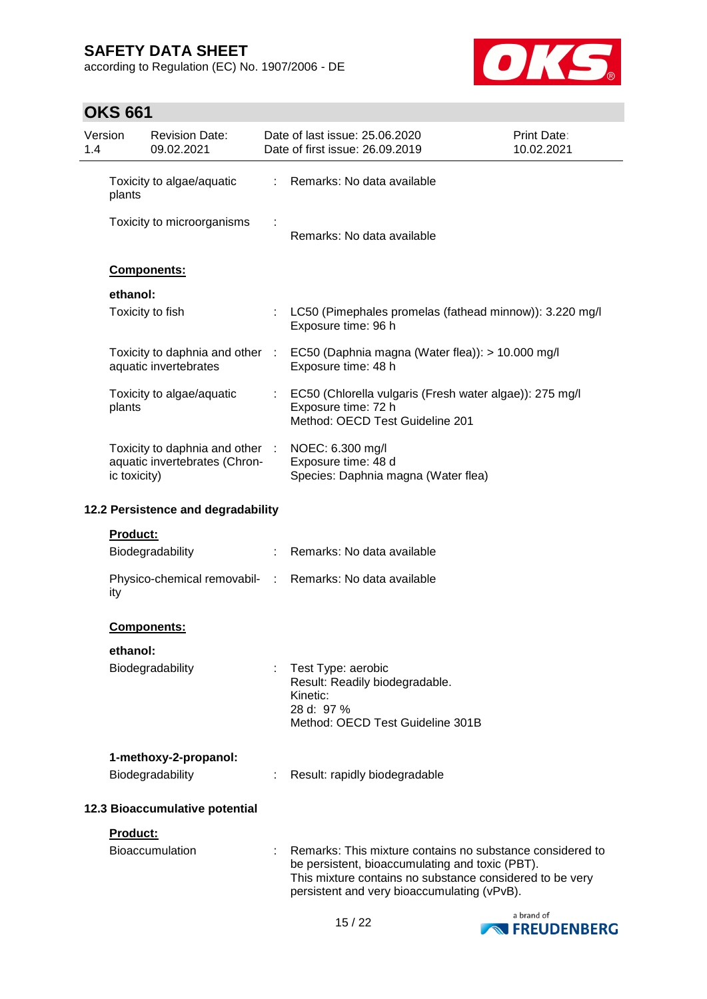according to Regulation (EC) No. 1907/2006 - DE



# **OKS 661**

| Version<br>1.4 |                                    | <b>Revision Date:</b><br>09.02.2021                              |    | Date of last issue: 25.06.2020<br>Date of first issue: 26.09.2019                                                  | Print Date:<br>10.02.2021                                                                                             |
|----------------|------------------------------------|------------------------------------------------------------------|----|--------------------------------------------------------------------------------------------------------------------|-----------------------------------------------------------------------------------------------------------------------|
|                | plants                             | Toxicity to algae/aquatic                                        |    | Remarks: No data available                                                                                         |                                                                                                                       |
|                |                                    | Toxicity to microorganisms                                       |    | Remarks: No data available                                                                                         |                                                                                                                       |
|                |                                    | Components:                                                      |    |                                                                                                                    |                                                                                                                       |
|                | ethanol:                           |                                                                  |    |                                                                                                                    |                                                                                                                       |
|                |                                    | Toxicity to fish                                                 | t  | Exposure time: 96 h                                                                                                | LC50 (Pimephales promelas (fathead minnow)): 3.220 mg/l                                                               |
|                |                                    | Toxicity to daphnia and other<br>aquatic invertebrates           | ÷. | EC50 (Daphnia magna (Water flea)): > 10.000 mg/l<br>Exposure time: 48 h                                            |                                                                                                                       |
|                | plants                             | Toxicity to algae/aquatic                                        |    | Exposure time: 72 h<br>Method: OECD Test Guideline 201                                                             | EC50 (Chlorella vulgaris (Fresh water algae)): 275 mg/l                                                               |
|                | ic toxicity)                       | Toxicity to daphnia and other :<br>aquatic invertebrates (Chron- |    | NOEC: 6.300 mg/l<br>Exposure time: 48 d<br>Species: Daphnia magna (Water flea)                                     |                                                                                                                       |
|                | 12.2 Persistence and degradability |                                                                  |    |                                                                                                                    |                                                                                                                       |
|                | Product:                           |                                                                  |    |                                                                                                                    |                                                                                                                       |
|                |                                    | Biodegradability                                                 |    | : Remarks: No data available                                                                                       |                                                                                                                       |
|                | ity                                | Physico-chemical removabil- :                                    |    | Remarks: No data available                                                                                         |                                                                                                                       |
|                |                                    | <b>Components:</b>                                               |    |                                                                                                                    |                                                                                                                       |
|                | ethanol:                           | <b>Biodegradability</b>                                          |    | Test Type: aerobic<br>Result: Readily biodegradable.<br>Kinetic:<br>28 d: 97 %<br>Method: OECD Test Guideline 301B |                                                                                                                       |
|                |                                    | 1-methoxy-2-propanol:                                            |    |                                                                                                                    |                                                                                                                       |
|                |                                    | Biodegradability                                                 |    | Result: rapidly biodegradable                                                                                      |                                                                                                                       |
|                |                                    | 12.3 Bioaccumulative potential                                   |    |                                                                                                                    |                                                                                                                       |
|                | Product:                           |                                                                  |    |                                                                                                                    |                                                                                                                       |
|                |                                    | Bioaccumulation                                                  |    | be persistent, bioaccumulating and toxic (PBT).<br>persistent and very bioaccumulating (vPvB).                     | Remarks: This mixture contains no substance considered to<br>This mixture contains no substance considered to be very |
|                |                                    |                                                                  |    | 4E/22                                                                                                              | a brand of                                                                                                            |

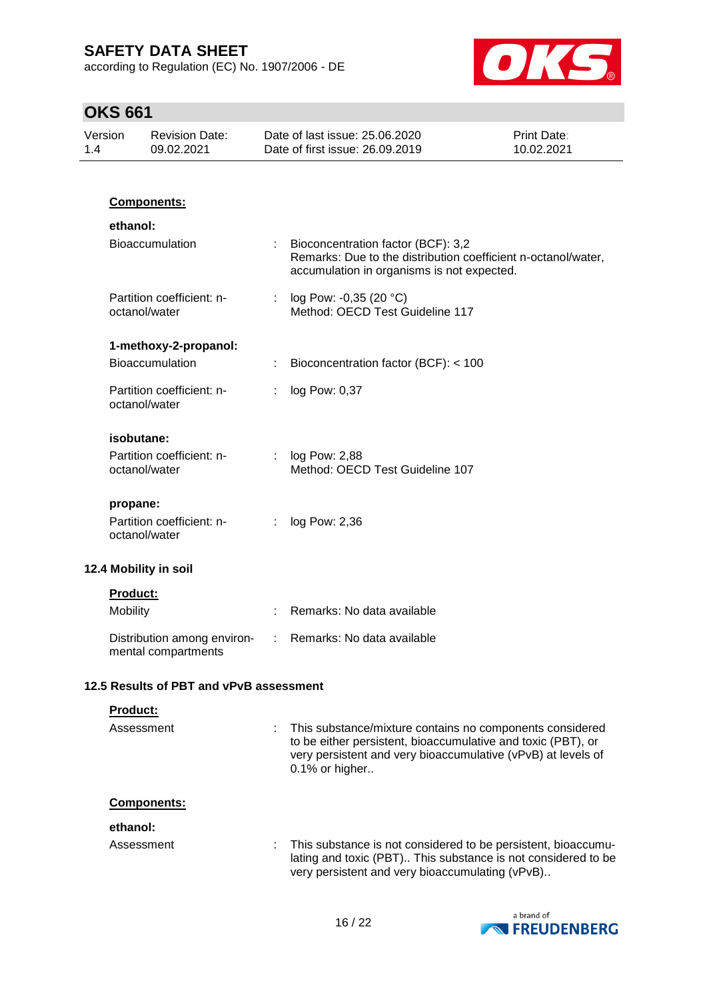according to Regulation (EC) No. 1907/2006 - DE



# **OKS 661**

| 1.4 | Version<br><b>Revision Date:</b><br>09.02.2021 |                                                    |   | Date of last issue: 25.06.2020<br>Date of first issue: 26.09.2019                                                                                                                                          | <b>Print Date:</b><br>10.02.2021 |
|-----|------------------------------------------------|----------------------------------------------------|---|------------------------------------------------------------------------------------------------------------------------------------------------------------------------------------------------------------|----------------------------------|
|     |                                                |                                                    |   |                                                                                                                                                                                                            |                                  |
|     |                                                | Components:                                        |   |                                                                                                                                                                                                            |                                  |
|     | ethanol:                                       |                                                    |   |                                                                                                                                                                                                            |                                  |
|     |                                                | <b>Bioaccumulation</b>                             |   | Bioconcentration factor (BCF): 3,2<br>Remarks: Due to the distribution coefficient n-octanol/water,<br>accumulation in organisms is not expected.                                                          |                                  |
|     |                                                | Partition coefficient: n-<br>octanol/water         | ÷ | log Pow: -0,35 (20 °C)<br>Method: OECD Test Guideline 117                                                                                                                                                  |                                  |
|     |                                                | 1-methoxy-2-propanol:                              |   |                                                                                                                                                                                                            |                                  |
|     |                                                | Bioaccumulation                                    |   | Bioconcentration factor (BCF): < 100                                                                                                                                                                       |                                  |
|     |                                                | Partition coefficient: n-<br>octanol/water         | ÷ | log Pow: 0,37                                                                                                                                                                                              |                                  |
|     |                                                | isobutane:                                         |   |                                                                                                                                                                                                            |                                  |
|     |                                                | Partition coefficient: n-<br>octanol/water         | ÷ | log Pow: 2,88<br>Method: OECD Test Guideline 107                                                                                                                                                           |                                  |
|     | propane:                                       |                                                    |   |                                                                                                                                                                                                            |                                  |
|     |                                                | Partition coefficient: n-<br>octanol/water         | ÷ | log Pow: 2,36                                                                                                                                                                                              |                                  |
|     |                                                | 12.4 Mobility in soil                              |   |                                                                                                                                                                                                            |                                  |
|     | Product:                                       |                                                    |   |                                                                                                                                                                                                            |                                  |
|     | <b>Mobility</b>                                |                                                    |   | Remarks: No data available                                                                                                                                                                                 |                                  |
|     |                                                | Distribution among environ-<br>mental compartments | ÷ | Remarks: No data available                                                                                                                                                                                 |                                  |
|     |                                                | 12.5 Results of PBT and vPvB assessment            |   |                                                                                                                                                                                                            |                                  |
|     | Product:                                       |                                                    |   |                                                                                                                                                                                                            |                                  |
|     |                                                | Assessment                                         |   | This substance/mixture contains no components considered<br>to be either persistent, bioaccumulative and toxic (PBT), or<br>very persistent and very bioaccumulative (vPvB) at levels of<br>0.1% or higher |                                  |
|     |                                                | <b>Components:</b>                                 |   |                                                                                                                                                                                                            |                                  |
|     | ethanol:                                       |                                                    |   |                                                                                                                                                                                                            |                                  |
|     |                                                | Assessment                                         |   | This substance is not considered to be persistent, bioaccumu-<br>lating and toxic (PBT) This substance is not considered to be<br>very persistent and very bioaccumulating (vPvB)                          |                                  |

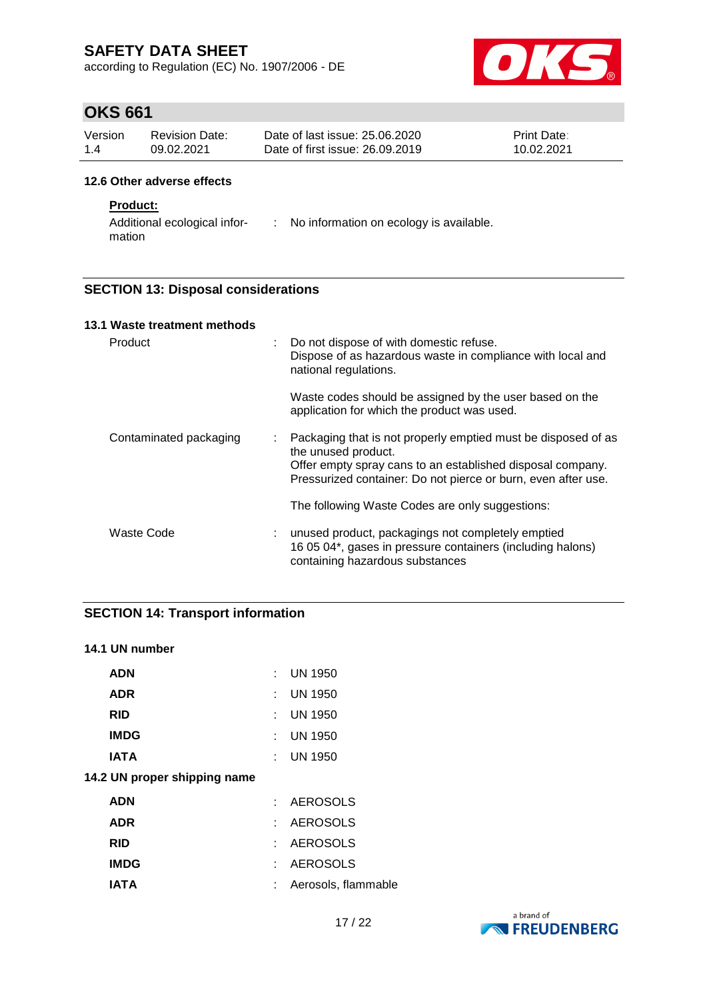according to Regulation (EC) No. 1907/2006 - DE



# **OKS 661**

| Version | Revision Date: | Date of last issue: 25.06.2020  | <b>Print Date:</b> |
|---------|----------------|---------------------------------|--------------------|
| 1.4     | 09.02.2021     | Date of first issue: 26,09,2019 | 10.02.2021         |

#### **12.6 Other adverse effects**

## **Product:**

Additional ecological infor-: No information on ecology is available. mation

## **SECTION 13: Disposal considerations**

| 13.1 Waste treatment methods |    |                                                                                                                                                                                                                     |
|------------------------------|----|---------------------------------------------------------------------------------------------------------------------------------------------------------------------------------------------------------------------|
| Product                      | t. | Do not dispose of with domestic refuse.<br>Dispose of as hazardous waste in compliance with local and<br>national regulations.                                                                                      |
|                              |    | Waste codes should be assigned by the user based on the<br>application for which the product was used.                                                                                                              |
| Contaminated packaging       | ÷  | Packaging that is not properly emptied must be disposed of as<br>the unused product.<br>Offer empty spray cans to an established disposal company.<br>Pressurized container: Do not pierce or burn, even after use. |
|                              |    | The following Waste Codes are only suggestions:                                                                                                                                                                     |
| Waste Code                   |    | unused product, packagings not completely emptied<br>16 05 04*, gases in pressure containers (including halons)<br>containing hazardous substances                                                                  |

## **SECTION 14: Transport information**

## **14.1 UN number**

| <b>ADN</b>                   |    | <b>UN 1950</b>      |
|------------------------------|----|---------------------|
| <b>ADR</b>                   | t. | <b>UN 1950</b>      |
| <b>RID</b>                   | t. | UN 1950             |
| <b>IMDG</b>                  | t. | <b>UN 1950</b>      |
| <b>IATA</b>                  | t. | <b>UN 1950</b>      |
| 14.2 UN proper shipping name |    |                     |
| <b>ADN</b>                   | t. | <b>AEROSOLS</b>     |
| <b>ADR</b>                   | t. | <b>AEROSOLS</b>     |
| <b>RID</b>                   | t. | <b>AEROSOLS</b>     |
| <b>IMDG</b>                  | t. | <b>AEROSOLS</b>     |
| IATA                         | t. | Aerosols, flammable |
|                              |    |                     |

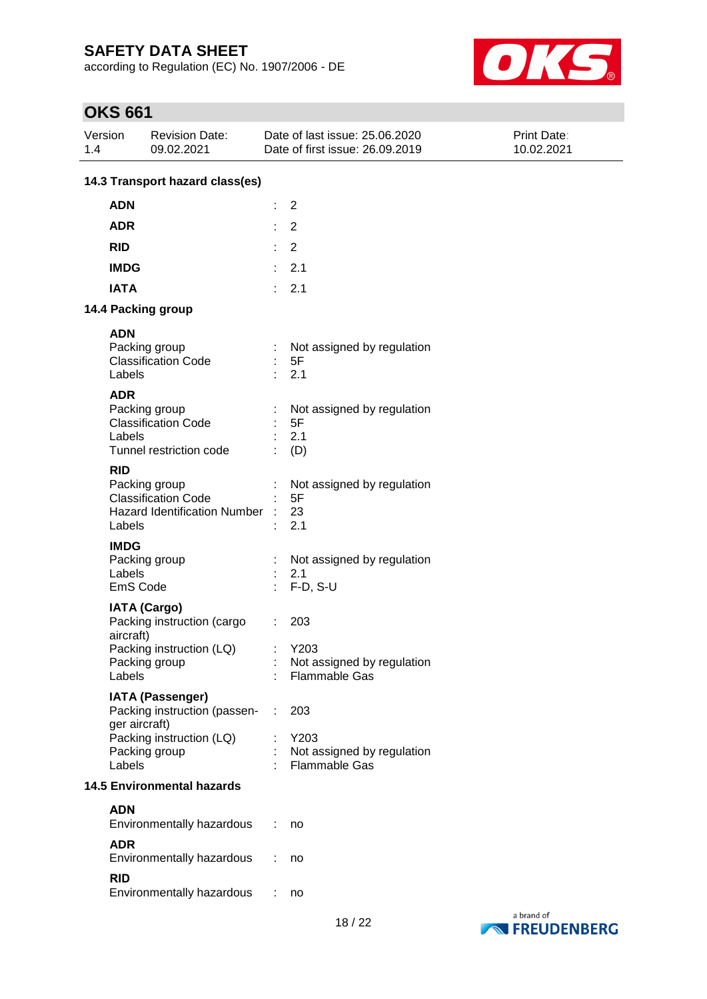according to Regulation (EC) No. 1907/2006 - DE



# **OKS 661**

| 1.4 | Version                           | <b>Revision Date:</b><br>09.02.2021                                                                  |    | Date of last issue: 25.06.2020<br>Date of first issue: 26.09.2019 | <b>Print Date:</b><br>10.02.2021 |  |  |  |
|-----|-----------------------------------|------------------------------------------------------------------------------------------------------|----|-------------------------------------------------------------------|----------------------------------|--|--|--|
|     | 14.3 Transport hazard class(es)   |                                                                                                      |    |                                                                   |                                  |  |  |  |
|     | <b>ADN</b>                        |                                                                                                      | t  | 2                                                                 |                                  |  |  |  |
|     | <b>ADR</b>                        |                                                                                                      | ÷  | $\overline{2}$                                                    |                                  |  |  |  |
|     | <b>RID</b>                        |                                                                                                      | ÷  | $\overline{2}$                                                    |                                  |  |  |  |
|     | <b>IMDG</b>                       |                                                                                                      | ÷  | 2.1                                                               |                                  |  |  |  |
|     | <b>IATA</b>                       |                                                                                                      | ÷  | 2.1                                                               |                                  |  |  |  |
|     |                                   | 14.4 Packing group                                                                                   |    |                                                                   |                                  |  |  |  |
|     |                                   |                                                                                                      |    |                                                                   |                                  |  |  |  |
|     | <b>ADN</b><br>Labels              | Packing group<br><b>Classification Code</b>                                                          | ×. | Not assigned by regulation<br>5F<br>2.1                           |                                  |  |  |  |
|     | <b>ADR</b><br>Labels              | Packing group<br><b>Classification Code</b><br>Tunnel restriction code                               |    | Not assigned by regulation<br>5F<br>2.1<br>(D)                    |                                  |  |  |  |
|     | <b>RID</b><br>Labels              | Packing group<br><b>Classification Code</b><br><b>Hazard Identification Number</b>                   |    | Not assigned by regulation<br>5F<br>23<br>2.1                     |                                  |  |  |  |
|     | <b>IMDG</b><br>Labels<br>EmS Code | Packing group                                                                                        |    | Not assigned by regulation<br>2.1<br>$F-D, S-U$                   |                                  |  |  |  |
|     | aircraft)<br>Labels               | <b>IATA (Cargo)</b><br>Packing instruction (cargo<br>Packing instruction (LQ)<br>Packing group       |    | 203<br>Y203<br>Not assigned by regulation<br>Flammable Gas        |                                  |  |  |  |
|     | ger aircraft)<br>Labels           | <b>IATA (Passenger)</b><br>Packing instruction (passen-<br>Packing instruction (LQ)<br>Packing group | ÷  | 203<br>Y203<br>Not assigned by regulation<br>Flammable Gas        |                                  |  |  |  |
|     |                                   | <b>14.5 Environmental hazards</b>                                                                    |    |                                                                   |                                  |  |  |  |
|     | <b>ADN</b>                        |                                                                                                      |    |                                                                   |                                  |  |  |  |
|     |                                   | Environmentally hazardous                                                                            |    | no                                                                |                                  |  |  |  |
|     | <b>ADR</b>                        | Environmentally hazardous                                                                            |    | no                                                                |                                  |  |  |  |
|     | <b>RID</b>                        | Environmentally hazardous                                                                            |    | no                                                                |                                  |  |  |  |

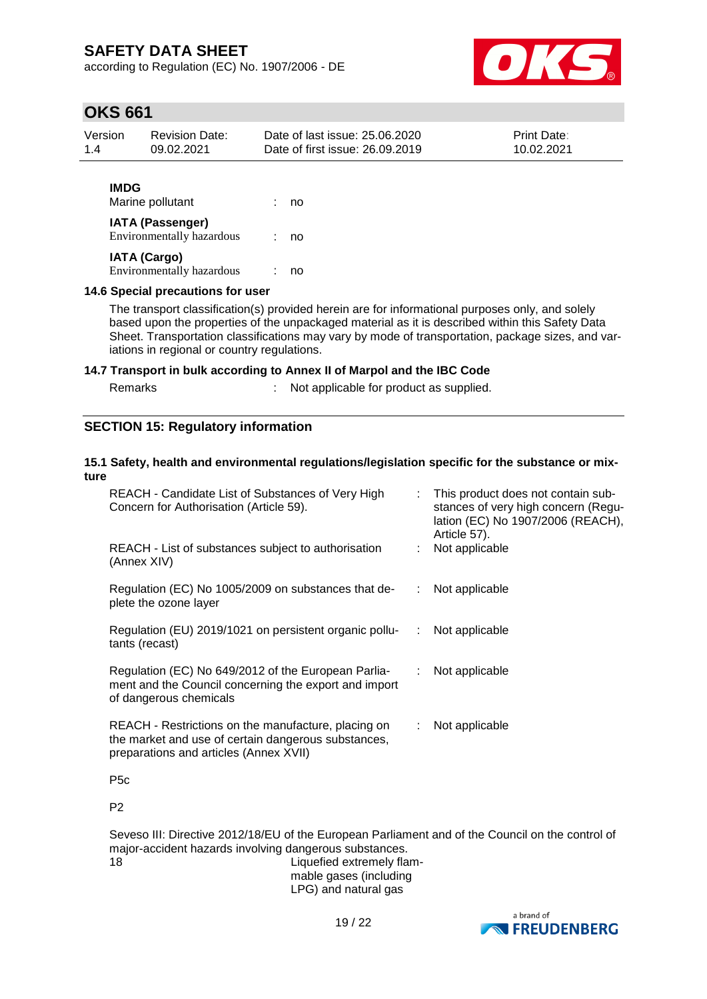according to Regulation (EC) No. 1907/2006 - DE



# **OKS 661**

| Version     | <b>Revision Date:</b> | Date of last issue: 25.06.2020  | <b>Print Date:</b> |
|-------------|-----------------------|---------------------------------|--------------------|
| 1.4         | 09.02.2021            | Date of first issue: 26.09.2019 | 10.02.2021         |
| <b>IMDG</b> | Marine pollutant      | no                              |                    |

## **IATA (Passenger)**

| Environmentally hazardous | no |
|---------------------------|----|
| IATA (Cargo)              |    |
| Environmentally hazardous | no |

#### **14.6 Special precautions for user**

The transport classification(s) provided herein are for informational purposes only, and solely based upon the properties of the unpackaged material as it is described within this Safety Data Sheet. Transportation classifications may vary by mode of transportation, package sizes, and variations in regional or country regulations.

## **14.7 Transport in bulk according to Annex II of Marpol and the IBC Code**

| Remarks |  |  | Not applicable for product as supplied. |
|---------|--|--|-----------------------------------------|
|---------|--|--|-----------------------------------------|

## **SECTION 15: Regulatory information**

## **15.1 Safety, health and environmental regulations/legislation specific for the substance or mixture**

| REACH - Candidate List of Substances of Very High<br>Concern for Authorisation (Article 59).                                                         | $\mathcal{L}$             | This product does not contain sub-<br>stances of very high concern (Regu-<br>lation (EC) No 1907/2006 (REACH),<br>Article 57). |  |
|------------------------------------------------------------------------------------------------------------------------------------------------------|---------------------------|--------------------------------------------------------------------------------------------------------------------------------|--|
| REACH - List of substances subject to authorisation<br>(Annex XIV)                                                                                   |                           | Not applicable                                                                                                                 |  |
| Regulation (EC) No 1005/2009 on substances that de-<br>plete the ozone layer                                                                         | $\mathcal{L}$             | Not applicable                                                                                                                 |  |
| Regulation (EU) 2019/1021 on persistent organic pollu-<br><br>tants (recast)                                                                         |                           | Not applicable                                                                                                                 |  |
| Regulation (EC) No 649/2012 of the European Parlia-<br>ment and the Council concerning the export and import<br>of dangerous chemicals               | ÷.                        | Not applicable                                                                                                                 |  |
| REACH - Restrictions on the manufacture, placing on<br>the market and use of certain dangerous substances,<br>preparations and articles (Annex XVII) | $\mathbb{R}^{\mathbb{Z}}$ | Not applicable                                                                                                                 |  |
| P <sub>5</sub> c                                                                                                                                     |                           |                                                                                                                                |  |
| P <sub>2</sub>                                                                                                                                       |                           |                                                                                                                                |  |

Seveso III: Directive 2012/18/EU of the European Parliament and of the Council on the control of major-accident hazards involving dangerous substances. 18 Liquefied extremely flam-

mable gases (including LPG) and natural gas

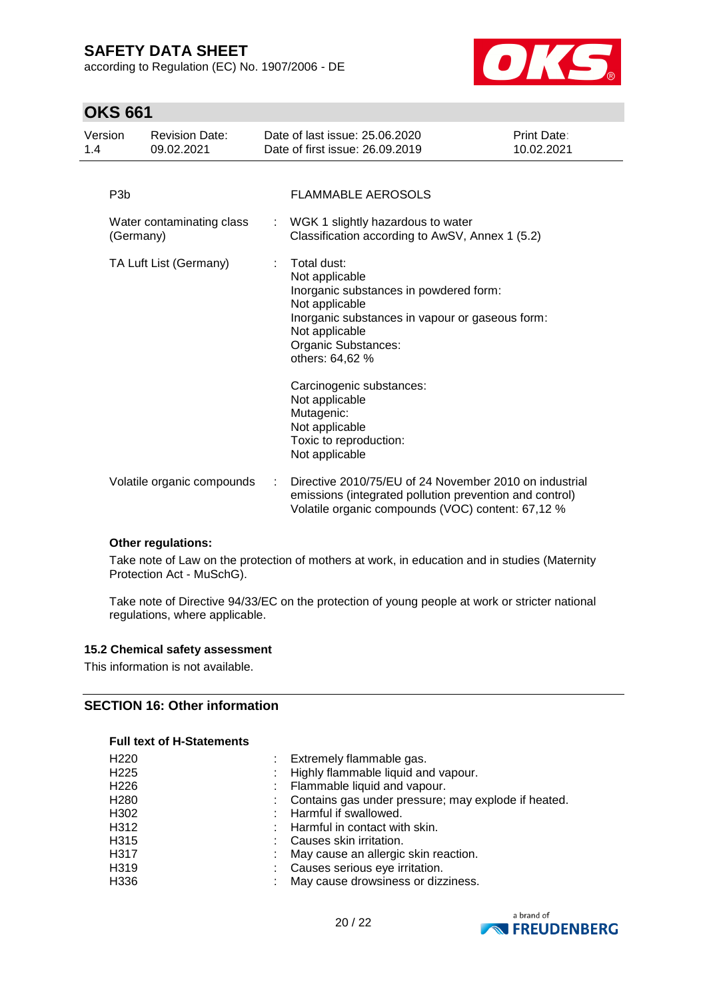according to Regulation (EC) No. 1907/2006 - DE



# **OKS 661**

| Version<br>1.4 |                  | <b>Revision Date:</b><br>09.02.2021 |   | Date of last issue: 25.06.2020<br>Date of first issue: 26.09.2019                                                                                                                                                                                                                                                                  | Print Date:<br>10.02.2021 |
|----------------|------------------|-------------------------------------|---|------------------------------------------------------------------------------------------------------------------------------------------------------------------------------------------------------------------------------------------------------------------------------------------------------------------------------------|---------------------------|
|                | P <sub>3</sub> b |                                     |   | <b>FLAMMABLE AEROSOLS</b>                                                                                                                                                                                                                                                                                                          |                           |
|                | (Germany)        | Water contaminating class           |   | : WGK 1 slightly hazardous to water<br>Classification according to AwSV, Annex 1 (5.2)                                                                                                                                                                                                                                             |                           |
|                |                  | TA Luft List (Germany)              | ÷ | Total dust:<br>Not applicable<br>Inorganic substances in powdered form:<br>Not applicable<br>Inorganic substances in vapour or gaseous form:<br>Not applicable<br>Organic Substances:<br>others: 64,62 %<br>Carcinogenic substances:<br>Not applicable<br>Mutagenic:<br>Not applicable<br>Toxic to reproduction:<br>Not applicable |                           |
|                |                  | Volatile organic compounds          |   | Directive 2010/75/EU of 24 November 2010 on industrial<br>emissions (integrated pollution prevention and control)<br>Volatile organic compounds (VOC) content: 67,12 %                                                                                                                                                             |                           |

## **Other regulations:**

Take note of Law on the protection of mothers at work, in education and in studies (Maternity Protection Act - MuSchG).

Take note of Directive 94/33/EC on the protection of young people at work or stricter national regulations, where applicable.

## **15.2 Chemical safety assessment**

This information is not available.

## **SECTION 16: Other information**

#### **Full text of H-Statements**

| H <sub>220</sub> | Extremely flammable gas.                            |
|------------------|-----------------------------------------------------|
| H <sub>225</sub> | Highly flammable liquid and vapour.                 |
| H <sub>226</sub> | Flammable liquid and vapour.                        |
| H <sub>280</sub> | Contains gas under pressure; may explode if heated. |
| H302             | Harmful if swallowed.                               |
| H312             | Harmful in contact with skin.                       |
| H315             | Causes skin irritation.                             |
| H317             | May cause an allergic skin reaction.                |
| H319             | Causes serious eye irritation.                      |
| H336             | May cause drowsiness or dizziness.                  |
|                  |                                                     |

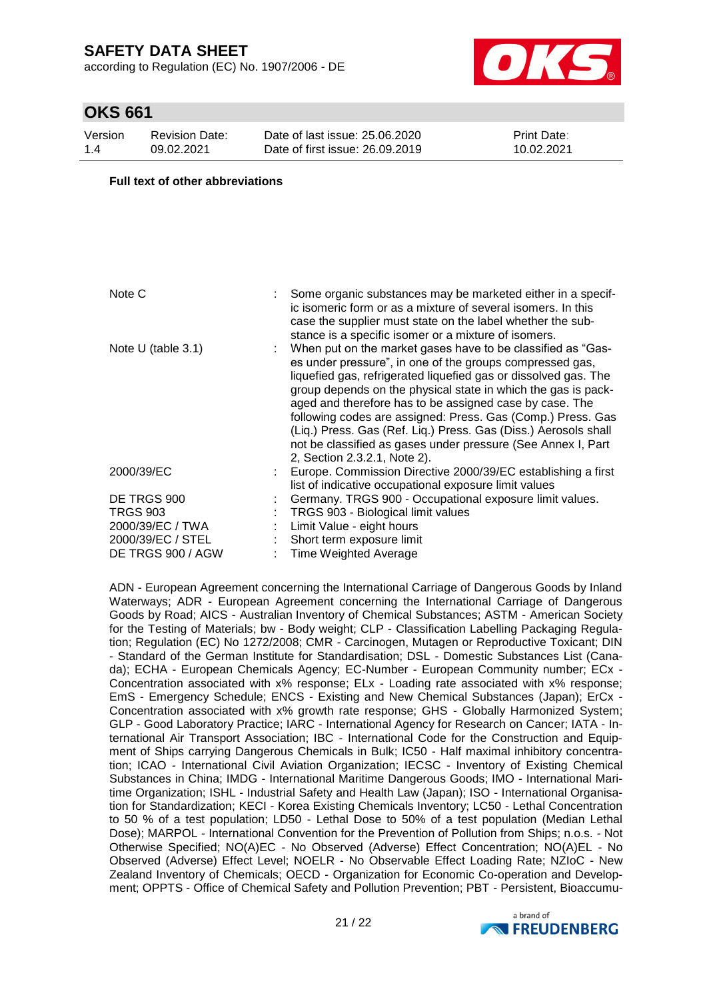according to Regulation (EC) No. 1907/2006 - DE



# **OKS 661**

| Version | <b>Revision Date:</b> |
|---------|-----------------------|
| 1.4     | 09.02.2021            |

Date of last issue: 25.06.2020 Date of first issue: 26.09.2019 Print Date: 10.02.2021

#### **Full text of other abbreviations**

| Note C                                                                                       | : Some organic substances may be marketed either in a specif-<br>ic isomeric form or as a mixture of several isomers. In this<br>case the supplier must state on the label whether the sub-<br>stance is a specific isomer or a mixture of isomers.                                                                                                                                                                                                                                                                                                      |
|----------------------------------------------------------------------------------------------|----------------------------------------------------------------------------------------------------------------------------------------------------------------------------------------------------------------------------------------------------------------------------------------------------------------------------------------------------------------------------------------------------------------------------------------------------------------------------------------------------------------------------------------------------------|
| Note U (table $3.1$ )                                                                        | When put on the market gases have to be classified as "Gas-<br>es under pressure", in one of the groups compressed gas,<br>liquefied gas, refrigerated liquefied gas or dissolved gas. The<br>group depends on the physical state in which the gas is pack-<br>aged and therefore has to be assigned case by case. The<br>following codes are assigned: Press. Gas (Comp.) Press. Gas<br>(Liq.) Press. Gas (Ref. Liq.) Press. Gas (Diss.) Aerosols shall<br>not be classified as gases under pressure (See Annex I, Part<br>2, Section 2.3.2.1, Note 2). |
| 2000/39/EC                                                                                   | Europe. Commission Directive 2000/39/EC establishing a first<br>list of indicative occupational exposure limit values                                                                                                                                                                                                                                                                                                                                                                                                                                    |
| DE TRGS 900<br><b>TRGS 903</b><br>2000/39/EC / TWA<br>2000/39/EC / STEL<br>DE TRGS 900 / AGW | Germany. TRGS 900 - Occupational exposure limit values.<br>TRGS 903 - Biological limit values<br>Limit Value - eight hours<br>Short term exposure limit<br><b>Time Weighted Average</b>                                                                                                                                                                                                                                                                                                                                                                  |

ADN - European Agreement concerning the International Carriage of Dangerous Goods by Inland Waterways; ADR - European Agreement concerning the International Carriage of Dangerous Goods by Road; AICS - Australian Inventory of Chemical Substances; ASTM - American Society for the Testing of Materials; bw - Body weight; CLP - Classification Labelling Packaging Regulation; Regulation (EC) No 1272/2008; CMR - Carcinogen, Mutagen or Reproductive Toxicant; DIN - Standard of the German Institute for Standardisation; DSL - Domestic Substances List (Canada); ECHA - European Chemicals Agency; EC-Number - European Community number; ECx - Concentration associated with x% response; ELx - Loading rate associated with x% response; EmS - Emergency Schedule; ENCS - Existing and New Chemical Substances (Japan); ErCx - Concentration associated with x% growth rate response; GHS - Globally Harmonized System; GLP - Good Laboratory Practice; IARC - International Agency for Research on Cancer; IATA - International Air Transport Association; IBC - International Code for the Construction and Equipment of Ships carrying Dangerous Chemicals in Bulk; IC50 - Half maximal inhibitory concentration; ICAO - International Civil Aviation Organization; IECSC - Inventory of Existing Chemical Substances in China; IMDG - International Maritime Dangerous Goods; IMO - International Maritime Organization; ISHL - Industrial Safety and Health Law (Japan); ISO - International Organisation for Standardization; KECI - Korea Existing Chemicals Inventory; LC50 - Lethal Concentration to 50 % of a test population; LD50 - Lethal Dose to 50% of a test population (Median Lethal Dose); MARPOL - International Convention for the Prevention of Pollution from Ships; n.o.s. - Not Otherwise Specified; NO(A)EC - No Observed (Adverse) Effect Concentration; NO(A)EL - No Observed (Adverse) Effect Level; NOELR - No Observable Effect Loading Rate; NZIoC - New Zealand Inventory of Chemicals; OECD - Organization for Economic Co-operation and Development; OPPTS - Office of Chemical Safety and Pollution Prevention; PBT - Persistent, Bioaccumu-